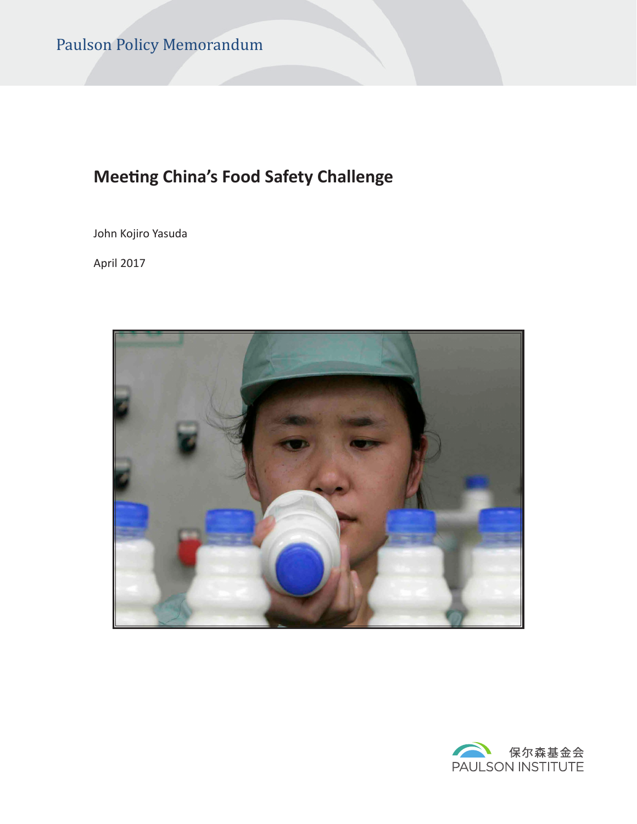# **Meeting China's Food Safety Challenge**

John Kojiro Yasuda

April 2017



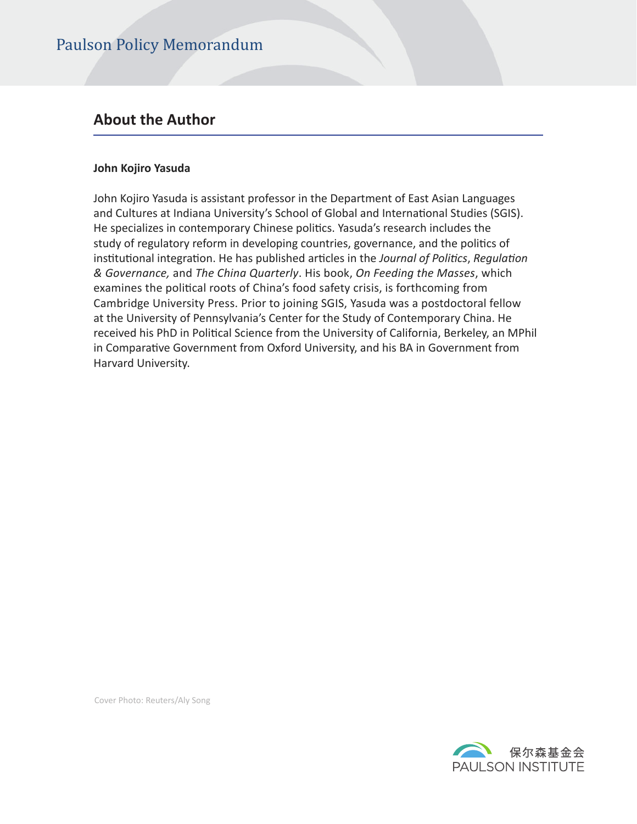### **About the Author**

#### **John Kojiro Yasuda**

John Kojiro Yasuda is assistant professor in the Department of East Asian Languages and Cultures at Indiana University's School of Global and International Studies (SGIS). He specializes in contemporary Chinese politics. Yasuda's research includes the study of regulatory reform in developing countries, governance, and the politics of institutional integration. He has published articles in the *Journal of Politics*, *Regulation & Governance,* and *The China Quarterly*. His book, *On Feeding the Masses*, which examines the political roots of China's food safety crisis, is forthcoming from Cambridge University Press. Prior to joining SGIS, Yasuda was a postdoctoral fellow at the University of Pennsylvania's Center for the Study of Contemporary China. He received his PhD in Political Science from the University of California, Berkeley, an MPhil in Comparative Government from Oxford University, and his BA in Government from Harvard University.

Cover Photo: Reuters/Aly Song

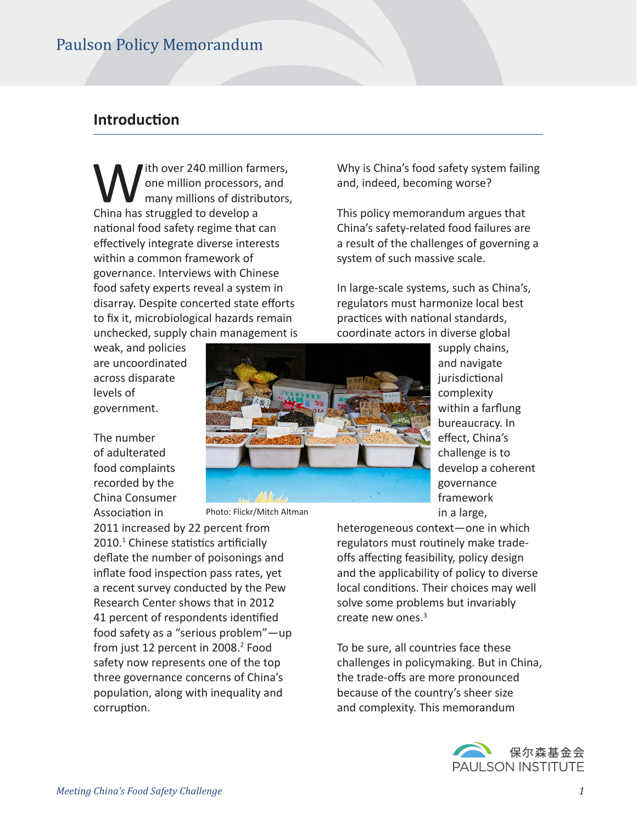### **Introduction**

W ith over 240 million farmers,<br>one million processors, and<br>many millions of distributors,<br>China has struggled to develop a one million processors, and many millions of distributors, China has struggled to develop a national food safety regime that can effectively integrate diverse interests within a common framework of governance. Interviews with Chinese food safety experts reveal a system in disarray. Despite concerted state efforts to fix it, microbiological hazards remain unchecked, supply chain management is

weak, and policies are uncoordinated across disparate levels of government.

The number China Consumer

of adulterated food complaints recorded by the Association in

2011 increased by 22 percent from 2010.<sup>1</sup> Chinese statistics artificially defate the number of poisonings and inflate food inspection pass rates, yet a recent survey conducted by the Pew Research Center shows that in 2012 41 percent of respondents identified food safety as a "serious problem"—up from just 12 percent in 2008.<sup>2</sup> Food safety now represents one of the top three governance concerns of China's population, along with inequality and corruption.

Why is China's food safety system failing and, indeed, becoming worse?

This policy memorandum argues that China's safety-related food failures are a result of the challenges of governing a system of such massive scale.

In large-scale systems, such as China's, regulators must harmonize local best practices with national standards, coordinate actors in diverse global



Photo: Flickr/Mitch Altman

supply chains, and navigate jurisdictional complexity within a farfung bureaucracy. In effect, China's challenge is to develop a coherent governance framework in a large,

heterogeneous context—one in which regulators must routinely make tradeoffs affecting feasibility, policy design and the applicability of policy to diverse local conditions. Their choices may well solve some problems but invariably create new ones.<sup>3</sup>

To be sure, all countries face these challenges in policymaking. But in China, the trade-offs are more pronounced because of the country's sheer size and complexity. This memorandum

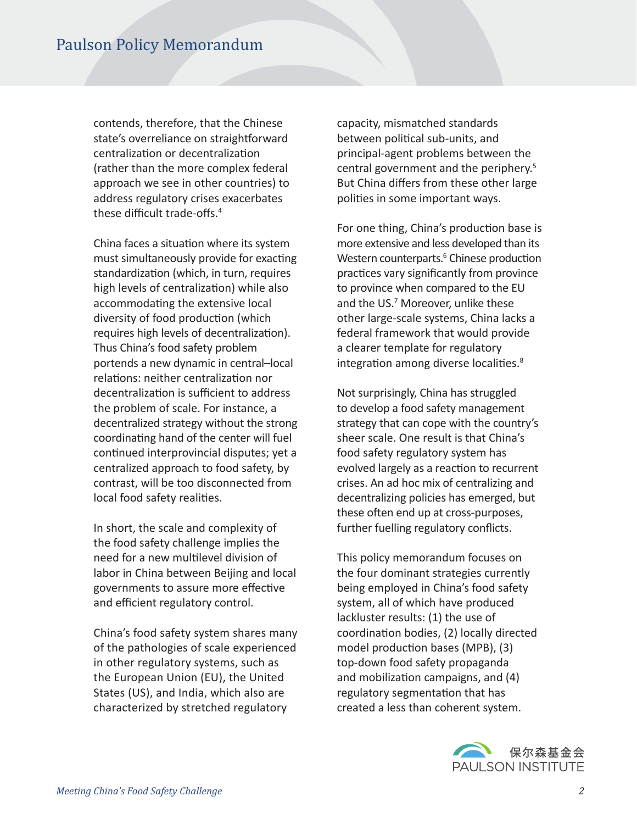contends, therefore, that the Chinese state's overreliance on straightforward centralization or decentralization (rather than the more complex federal approach we see in other countries) to address regulatory crises exacerbates these difficult trade-offs. $4$ 

China faces a situation where its system must simultaneously provide for exacting standardization (which, in turn, requires high levels of centralization) while also accommodating the extensive local diversity of food production (which requires high levels of decentralization). Thus China's food safety problem portends a new dynamic in central–local relations: neither centralization nor decentralization is sufficient to address the problem of scale. For instance, a decentralized strategy without the strong coordinating hand of the center will fuel continued interprovincial disputes; yet a centralized approach to food safety, by contrast, will be too disconnected from local food safety realities.

In short, the scale and complexity of the food safety challenge implies the need for a new multilevel division of labor in China between Beijing and local governments to assure more effective and efficient regulatory control.

China's food safety system shares many of the pathologies of scale experienced in other regulatory systems, such as the European Union (EU), the United States (US), and India, which also are characterized by stretched regulatory

capacity, mismatched standards between political sub-units, and principal-agent problems between the central government and the periphery.<sup>5</sup> But China difers from these other large polities in some important ways.

For one thing, China's production base is more extensive and less developed than its Western counterparts.<sup>6</sup> Chinese production practices vary significantly from province to province when compared to the EU and the US.<sup>7</sup> Moreover, unlike these other large-scale systems, China lacks a federal framework that would provide a clearer template for regulatory integration among diverse localities.<sup>8</sup>

Not surprisingly, China has struggled to develop a food safety management strategy that can cope with the country's sheer scale. One result is that China's food safety regulatory system has evolved largely as a reaction to recurrent crises. An ad hoc mix of centralizing and decentralizing policies has emerged, but these often end up at cross-purposes, further fuelling regulatory conficts.

This policy memorandum focuses on the four dominant strategies currently being employed in China's food safety system, all of which have produced lackluster results: (1) the use of coordination bodies, (2) locally directed model production bases (MPB), (3) top-down food safety propaganda and mobilization campaigns, and (4) regulatory segmentation that has created a less than coherent system.

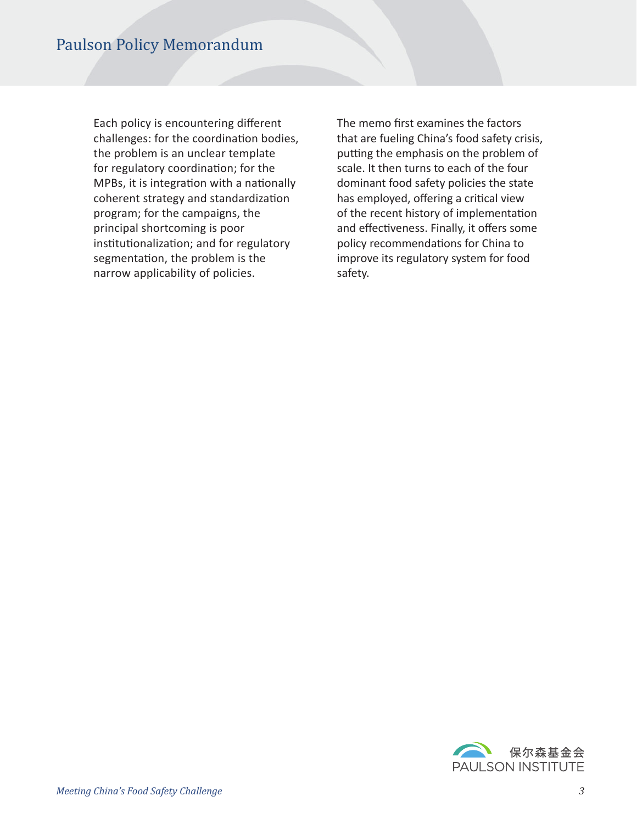Each policy is encountering diferent challenges: for the coordination bodies, the problem is an unclear template for regulatory coordination; for the MPBs, it is integration with a nationally coherent strategy and standardization program; for the campaigns, the principal shortcoming is poor institutionalization; and for regulatory segmentation, the problem is the narrow applicability of policies.

The memo first examines the factors that are fueling China's food safety crisis, putting the emphasis on the problem of scale. It then turns to each of the four dominant food safety policies the state has employed, offering a critical view of the recent history of implementation and effectiveness. Finally, it offers some policy recommendations for China to improve its regulatory system for food safety.

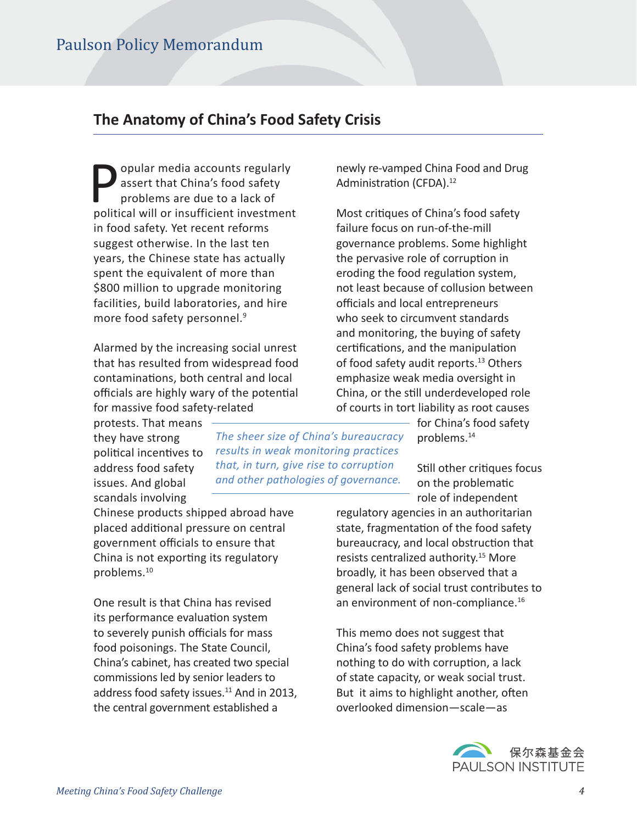# **The Anatomy of China's Food Safety Crisis**

opular media accounts regularly assert that China's food safety problems are due to a lack of political will or insufficient investment in food safety. Yet recent reforms suggest otherwise. In the last ten years, the Chinese state has actually spent the equivalent of more than \$800 million to upgrade monitoring facilities, build laboratories, and hire more food safety personnel.<sup>9</sup>

Alarmed by the increasing social unrest that has resulted from widespread food contaminatons, both central and local officials are highly wary of the potential for massive food safety-related

protests. That means they have strong political incentives to address food safety issues. And global scandals involving

Chinese products shipped abroad have placed additonal pressure on central government officials to ensure that China is not exporting its regulatory problems.<sup>10</sup>

One result is that China has revised its performance evaluation system to severely punish officials for mass food poisonings. The State Council, China's cabinet, has created two special commissions led by senior leaders to address food safety issues.<sup>11</sup> And in 2013, the central government established a

*The sheer size of China's bureaucracy results in weak monitoring practices that, in turn, give rise to corruption and other pathologies of governance.*

newly re-vamped China Food and Drug Administration (CFDA).<sup>12</sup>

Most critiques of China's food safety failure focus on run-of-the-mill governance problems. Some highlight the pervasive role of corruption in eroding the food regulation system, not least because of collusion between officials and local entrepreneurs who seek to circumvent standards and monitoring, the buying of safety certifications, and the manipulation of food safety audit reports.<sup>13</sup> Others emphasize weak media oversight in China, or the still underdeveloped role of courts in tort liability as root causes

for China's food safety problems.<sup>14</sup>

Still other critiques focus on the problematic role of independent

regulatory agencies in an authoritarian state, fragmentation of the food safety bureaucracy, and local obstruction that resists centralized authority.<sup>15</sup> More broadly, it has been observed that a general lack of social trust contributes to an environment of non-compliance.<sup>16</sup>

This memo does not suggest that China's food safety problems have nothing to do with corruption, a lack of state capacity, or weak social trust. But it aims to highlight another, often overlooked dimension—scale—as

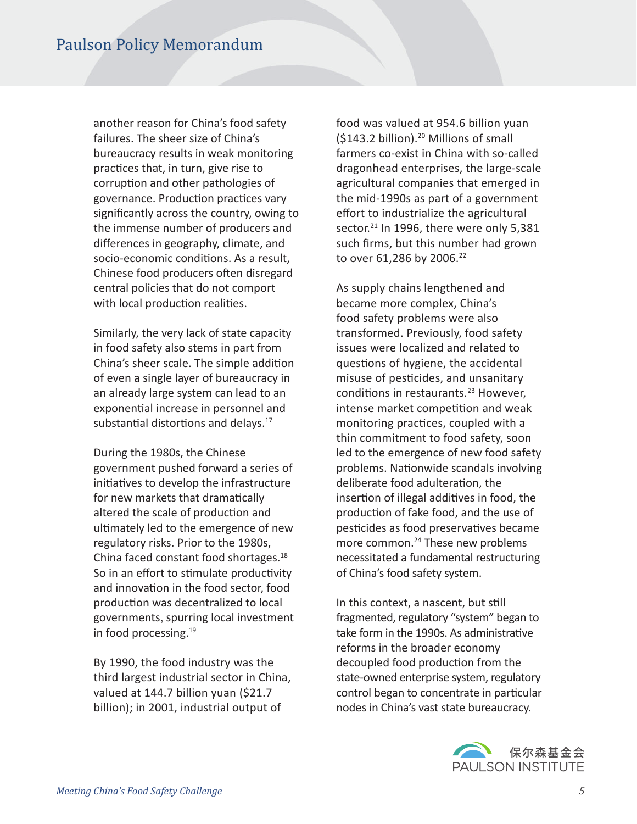another reason for China's food safety failures. The sheer size of China's bureaucracy results in weak monitoring practices that, in turn, give rise to corruption and other pathologies of governance. Production practices vary significantly across the country, owing to the immense number of producers and diferences in geography, climate, and socio-economic conditions. As a result, Chinese food producers often disregard central policies that do not comport with local production realities.

Similarly, the very lack of state capacity in food safety also stems in part from China's sheer scale. The simple additon of even a single layer of bureaucracy in an already large system can lead to an exponential increase in personnel and substantial distortions and delays.<sup>17</sup>

During the 1980s, the Chinese government pushed forward a series of initatves to develop the infrastructure for new markets that dramatically altered the scale of production and ultmately led to the emergence of new regulatory risks. Prior to the 1980s, China faced constant food shortages.<sup>18</sup> So in an effort to stimulate productivity and innovaton in the food sector, food production was decentralized to local governments, spurring local investment in food processing.<sup>19</sup>

By 1990, the food industry was the third largest industrial sector in China, valued at 144.7 billion yuan (\$21.7 billion); in 2001, industrial output of

food was valued at 954.6 billion yuan (\$143.2 billion).<sup>20</sup> Millions of small farmers co-exist in China with so-called dragonhead enterprises, the large-scale agricultural companies that emerged in the mid-1990s as part of a government effort to industrialize the agricultural sector.<sup>21</sup> In 1996, there were only 5,381 such frms, but this number had grown to over 61,286 by 2006.<sup>22</sup>

As supply chains lengthened and became more complex, China's food safety problems were also transformed. Previously, food safety issues were localized and related to questions of hygiene, the accidental misuse of pesticides, and unsanitary conditions in restaurants.<sup>23</sup> However, intense market competition and weak monitoring practices, coupled with a thin commitment to food safety, soon led to the emergence of new food safety problems. Natonwide scandals involving deliberate food adulteration, the insertion of illegal additives in food, the production of fake food, and the use of pesticides as food preservatives became more common.<sup>24</sup> These new problems necessitated a fundamental restructuring of China's food safety system.

In this context, a nascent, but still fragmented, regulatory "system" began to take form in the 1990s. As administrative reforms in the broader economy decoupled food production from the state-owned enterprise system, regulatory control began to concentrate in particular nodes in China's vast state bureaucracy.

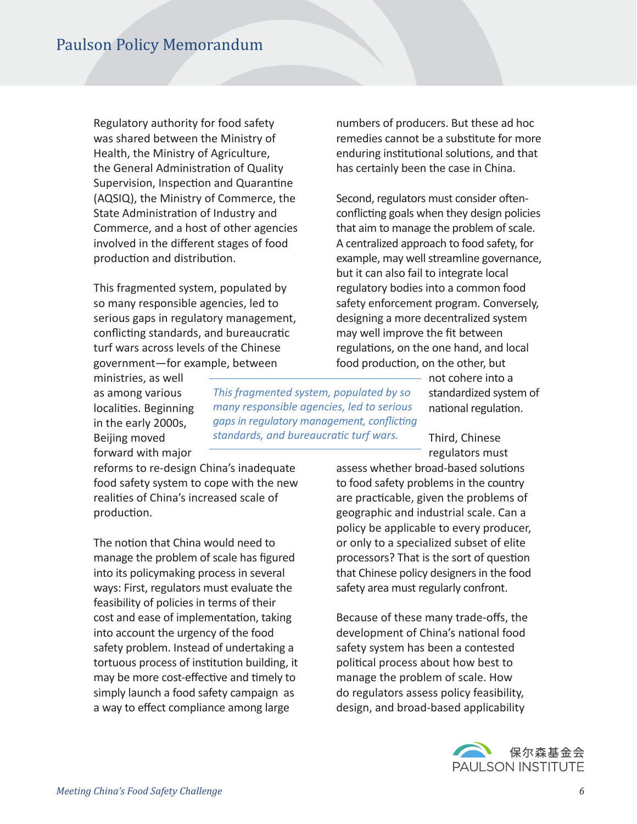Regulatory authority for food safety was shared between the Ministry of Health, the Ministry of Agriculture, the General Administration of Quality Supervision, Inspection and Quarantine (AQSIQ), the Ministry of Commerce, the State Administration of Industry and Commerce, and a host of other agencies involved in the diferent stages of food production and distribution.

This fragmented system, populated by so many responsible agencies, led to serious gaps in regulatory management, conflicting standards, and bureaucratic turf wars across levels of the Chinese government—for example, between

ministries, as well as among various localities. Beginning in the early 2000s, Beijing moved forward with major

*This fragmented system, populated by so many responsible agencies, led to serious gaps in regulatory management, confictng*  standards, and bureaucratic turf wars.

reforms to re-design China's inadequate food safety system to cope with the new realites of China's increased scale of production.

The notion that China would need to manage the problem of scale has fgured into its policymaking process in several ways: First, regulators must evaluate the feasibility of policies in terms of their cost and ease of implementation, taking into account the urgency of the food safety problem. Instead of undertaking a tortuous process of institution building, it may be more cost-effective and timely to simply launch a food safety campaign as a way to efect compliance among large

numbers of producers. But these ad hoc remedies cannot be a substitute for more enduring institutional solutions, and that has certainly been the case in China.

Second, regulators must consider oftenconflicting goals when they design policies that aim to manage the problem of scale. A centralized approach to food safety, for example, may well streamline governance, but it can also fail to integrate local regulatory bodies into a common food safety enforcement program. Conversely, designing a more decentralized system may well improve the fit between regulations, on the one hand, and local food production, on the other, but

> not cohere into a standardized system of national regulation.

Third, Chinese regulators must

assess whether broad-based solutions to food safety problems in the country are practicable, given the problems of geographic and industrial scale. Can a policy be applicable to every producer, or only to a specialized subset of elite processors? That is the sort of question that Chinese policy designers in the food safety area must regularly confront.

Because of these many trade-ofs, the development of China's national food safety system has been a contested political process about how best to manage the problem of scale. How do regulators assess policy feasibility, design, and broad-based applicability

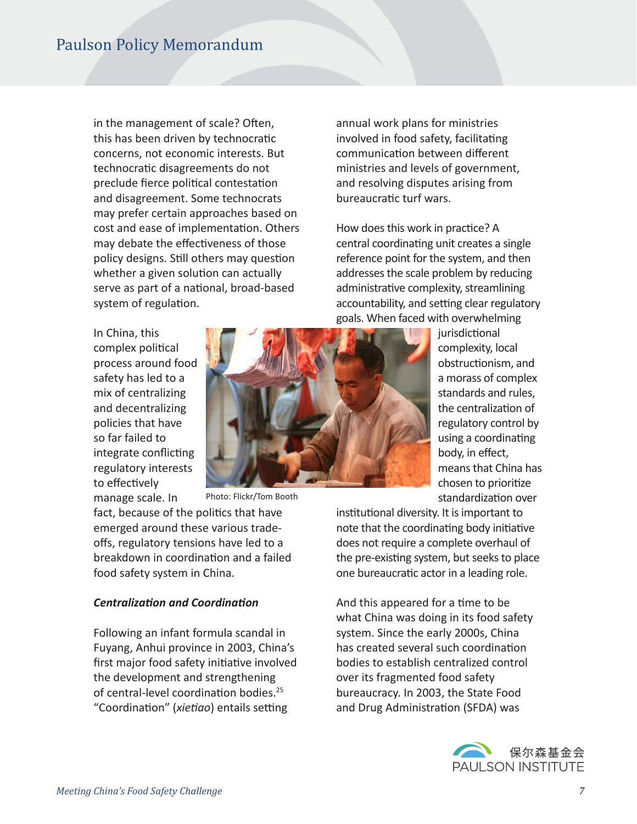in the management of scale? Often, this has been driven by technocratic concerns, not economic interests. But technocratic disagreements do not preclude fierce political contestation and disagreement. Some technocrats may prefer certain approaches based on cost and ease of implementation. Others may debate the effectiveness of those policy designs. Still others may question whether a given solution can actually serve as part of a national, broad-based system of regulation.

In China, this complex political process around food safety has led to a mix of centralizing and decentralizing policies that have so far failed to integrate conflicting regulatory interests to effectively manage scale. In



Photo: Flickr/Tom Booth

fact, because of the politics that have emerged around these various tradeoffs, regulatory tensions have led to a breakdown in coordination and a failed food safety system in China.

#### *Centralizaton and Coordinaton*

Following an infant formula scandal in Fuyang, Anhui province in 2003, China's first major food safety initiative involved the development and strengthening of central-level coordination bodies.<sup>25</sup> "Coordination" (xietiao) entails setting

annual work plans for ministries involved in food safety, facilitating communication between different ministries and levels of government, and resolving disputes arising from bureaucratic turf wars.

How does this work in practice? A central coordinating unit creates a single reference point for the system, and then addresses the scale problem by reducing administrative complexity, streamlining accountability, and setting clear regulatory goals. When faced with overwhelming

> iurisdictional complexity, local obstructionism, and a morass of complex standards and rules, the centralization of regulatory control by using a coordinating body, in effect, means that China has chosen to prioritze standardization over

institutional diversity. It is important to note that the coordinating body initiative does not require a complete overhaul of the pre-existing system, but seeks to place one bureaucratic actor in a leading role.

And this appeared for a tme to be what China was doing in its food safety system. Since the early 2000s, China has created several such coordination bodies to establish centralized control over its fragmented food safety bureaucracy. In 2003, the State Food and Drug Administration (SFDA) was

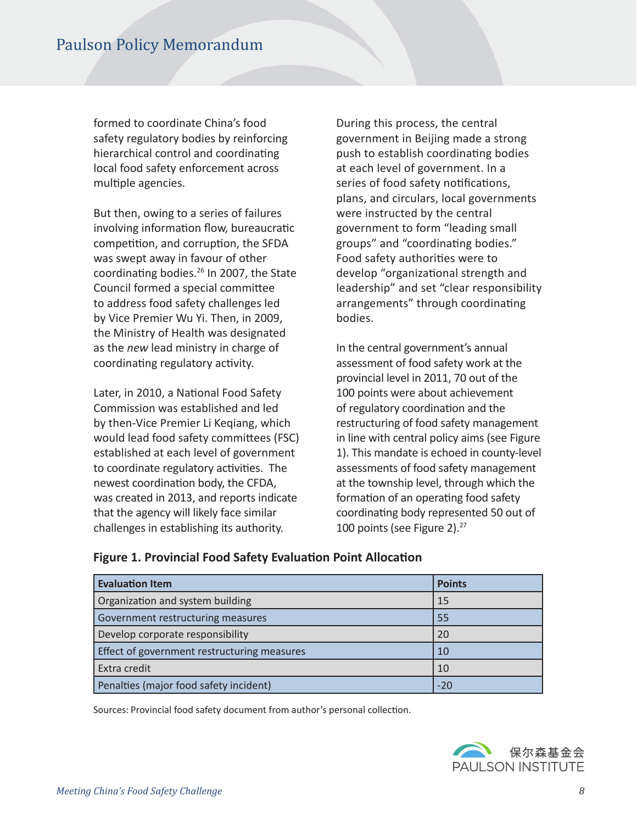formed to coordinate China's food safety regulatory bodies by reinforcing hierarchical control and coordinating local food safety enforcement across multiple agencies.

But then, owing to a series of failures involving information flow, bureaucratic competition, and corruption, the SFDA was swept away in favour of other coordinating bodies.<sup>26</sup> In 2007, the State Council formed a special commitee to address food safety challenges led by Vice Premier Wu Yi. Then, in 2009, the Ministry of Health was designated as the *new* lead ministry in charge of coordinating regulatory activity.

Later, in 2010, a National Food Safety Commission was established and led by then-Vice Premier Li Keqiang, which would lead food safety commitees (FSC) established at each level of government to coordinate regulatory activities. The newest coordination body, the CFDA, was created in 2013, and reports indicate that the agency will likely face similar challenges in establishing its authority.

During this process, the central government in Beijing made a strong push to establish coordinating bodies at each level of government. In a series of food safety notifications, plans, and circulars, local governments were instructed by the central government to form "leading small groups" and "coordinating bodies." Food safety authorities were to develop "organizational strength and leadership" and set "clear responsibility arrangements" through coordinating bodies.

In the central government's annual assessment of food safety work at the provincial level in 2011, 70 out of the 100 points were about achievement of regulatory coordination and the restructuring of food safety management in line with central policy aims (see Figure 1). This mandate is echoed in county-level assessments of food safety management at the township level, through which the formation of an operating food safety coordinating body represented 50 out of 100 points (see Figure 2).<sup>27</sup>

| <b>Evaluation Item</b>                      | <b>Points</b> |
|---------------------------------------------|---------------|
| Organization and system building            | 15            |
| Government restructuring measures           | 55            |
| Develop corporate responsibility            | 20            |
| Effect of government restructuring measures | 10            |
| Extra credit                                | 10            |
| Penalties (major food safety incident)      | $-20$         |

#### **Figure 1. Provincial Food Safety Evaluaton Point Allocaton**

Sources: Provincial food safety document from author's personal collection.

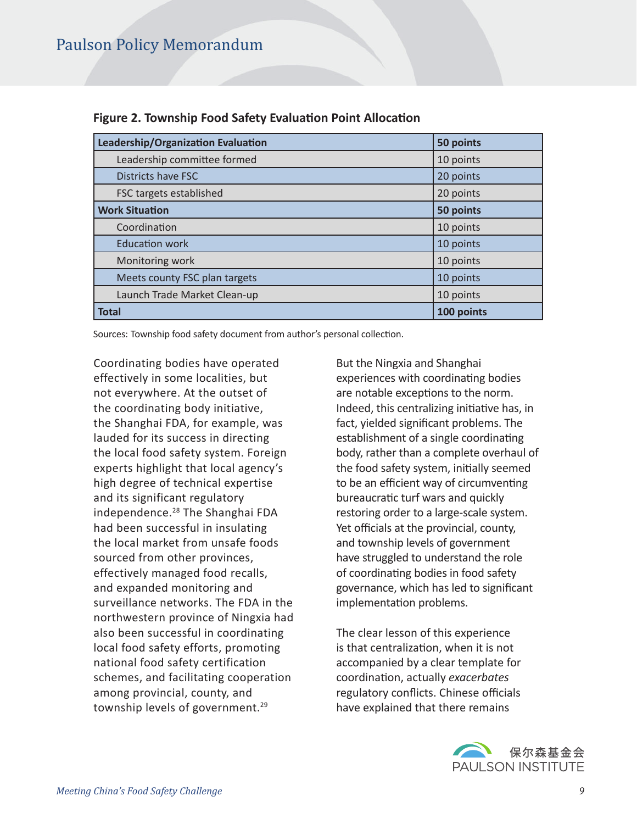| Leadership/Organization Evaluation | 50 points  |
|------------------------------------|------------|
| Leadership committee formed        | 10 points  |
| <b>Districts have FSC</b>          | 20 points  |
| FSC targets established            | 20 points  |
| <b>Work Situation</b>              | 50 points  |
| Coordination                       | 10 points  |
| <b>Education work</b>              | 10 points  |
| Monitoring work                    | 10 points  |
| Meets county FSC plan targets      | 10 points  |
| Launch Trade Market Clean-up       | 10 points  |
| <b>Total</b>                       | 100 points |

#### **Figure 2. Township Food Safety Evaluaton Point Allocaton**

Sources: Township food safety document from author's personal collection.

Coordinating bodies have operated effectively in some localities, but not everywhere. At the outset of the coordinating body initiative, the Shanghai FDA, for example, was lauded for its success in directing the local food safety system. Foreign experts highlight that local agency's high degree of technical expertise and its significant regulatory independence.<sup>28</sup> The Shanghai FDA had been successful in insulating the local market from unsafe foods sourced from other provinces, effectively managed food recalls, and expanded monitoring and surveillance networks. The FDA in the northwestern province of Ningxia had also been successful in coordinating local food safety efforts, promoting national food safety certification schemes, and facilitating cooperation among provincial, county, and township levels of government.<sup>29</sup>

But the Ningxia and Shanghai experiences with coordinating bodies are notable exceptions to the norm. Indeed, this centralizing initiative has, in fact, yielded signifcant problems. The establishment of a single coordinating body, rather than a complete overhaul of the food safety system, initally seemed to be an efficient way of circumventing bureaucratic turf wars and quickly restoring order to a large-scale system. Yet officials at the provincial, county, and township levels of government have struggled to understand the role of coordinating bodies in food safety governance, which has led to signifcant implementation problems.

The clear lesson of this experience is that centralization, when it is not accompanied by a clear template for coordinaton, actually *exacerbates* regulatory conflicts. Chinese officials have explained that there remains

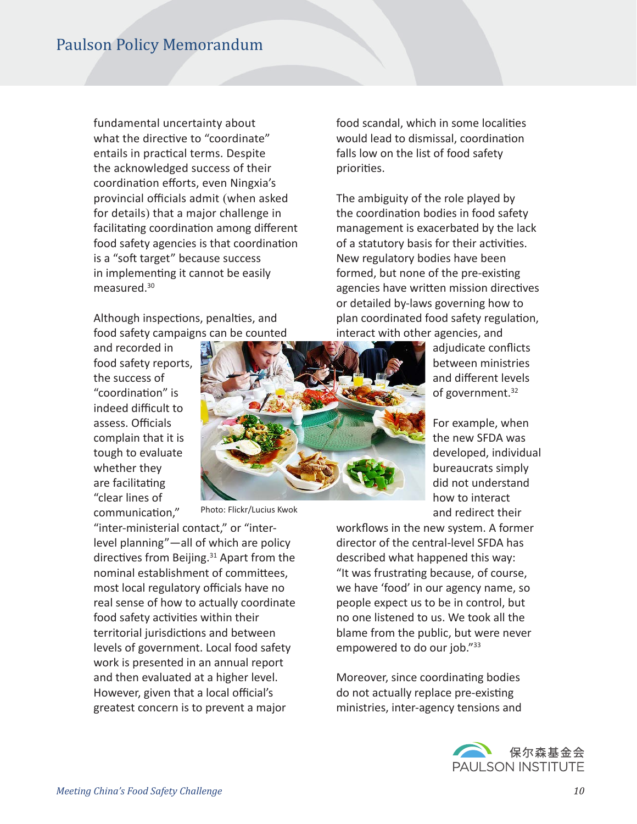fundamental uncertainty about what the directive to "coordinate" entails in practical terms. Despite the acknowledged success of their coordination efforts, even Ningxia's provincial officials admit (when asked for details) that a major challenge in facilitating coordination among different food safety agencies is that coordination is a "soft target" because success in implementing it cannot be easily measured.<sup>30</sup>

Although inspections, penalties, and food safety campaigns can be counted

and recorded in food safety reports, the success of "coordinaton" is indeed difficult to assess. Officials complain that it is tough to evaluate whether they are facilitating "clear lines of communication."



Photo: Flickr/Lucius Kwok

"inter-ministerial contact," or "interlevel planning"—all of which are policy directives from Beijing. $31$  Apart from the nominal establishment of commitees, most local regulatory officials have no real sense of how to actually coordinate food safety activities within their territorial jurisdictions and between levels of government. Local food safety work is presented in an annual report and then evaluated at a higher level. However, given that a local official's greatest concern is to prevent a major

food scandal, which in some localites would lead to dismissal, coordination falls low on the list of food safety priorites.

The ambiguity of the role played by the coordination bodies in food safety management is exacerbated by the lack of a statutory basis for their activities. New regulatory bodies have been formed, but none of the pre-existing agencies have written mission directives or detailed by-laws governing how to plan coordinated food safety regulation, interact with other agencies, and

> adjudicate conficts between ministries and diferent levels of government.<sup>32</sup>

For example, when the new SFDA was developed, individual bureaucrats simply did not understand how to interact and redirect their

workflows in the new system. A former director of the central-level SFDA has described what happened this way: "It was frustrating because, of course, we have 'food' in our agency name, so people expect us to be in control, but no one listened to us. We took all the blame from the public, but were never empowered to do our job."<sup>33</sup>

Moreover, since coordinating bodies do not actually replace pre-existing ministries, inter-agency tensions and

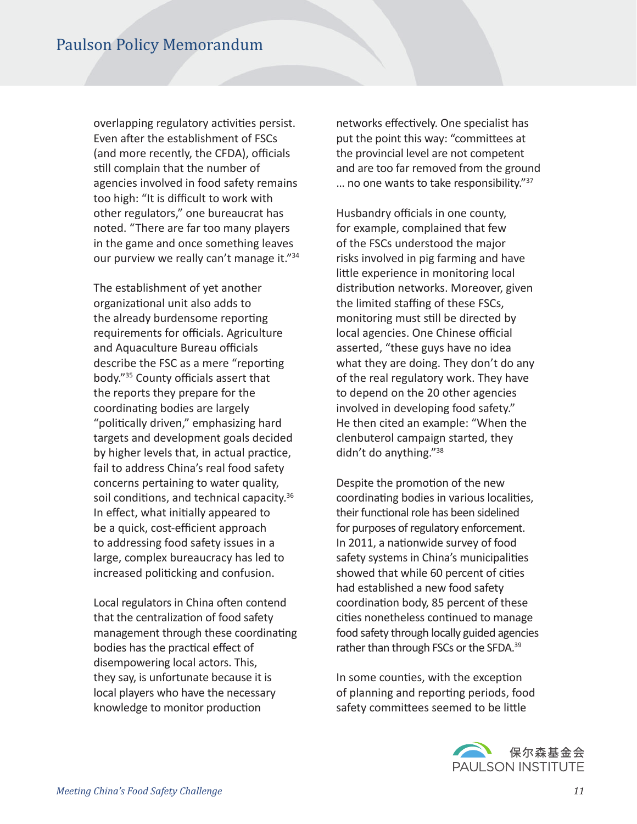overlapping regulatory activities persist. Even after the establishment of FSCs (and more recently, the CFDA), officials still complain that the number of agencies involved in food safety remains too high: "It is difficult to work with other regulators," one bureaucrat has noted. "There are far too many players in the game and once something leaves our purview we really can't manage it."<sup>34</sup>

The establishment of yet another organizatonal unit also adds to the already burdensome reporting requirements for officials. Agriculture and Aquaculture Bureau officials describe the FSC as a mere "reporting body."<sup>35</sup> County officials assert that the reports they prepare for the coordinating bodies are largely "politically driven," emphasizing hard targets and development goals decided by higher levels that, in actual practice, fail to address China's real food safety concerns pertaining to water quality, soil conditions, and technical capacity.<sup>36</sup> In effect, what initially appeared to be a quick, cost-efficient approach to addressing food safety issues in a large, complex bureaucracy has led to increased politicking and confusion.

Local regulators in China often contend that the centralization of food safety management through these coordinating bodies has the practical effect of disempowering local actors. This, they say, is unfortunate because it is local players who have the necessary knowledge to monitor production

networks effectively. One specialist has put the point this way: "commitees at the provincial level are not competent and are too far removed from the ground ... no one wants to take responsibility."<sup>37</sup>

Husbandry officials in one county, for example, complained that few of the FSCs understood the major risks involved in pig farming and have little experience in monitoring local distribution networks. Moreover, given the limited staffing of these FSCs, monitoring must still be directed by local agencies. One Chinese official asserted, "these guys have no idea what they are doing. They don't do any of the real regulatory work. They have to depend on the 20 other agencies involved in developing food safety." He then cited an example: "When the clenbuterol campaign started, they didn't do anything."<sup>38</sup>

Despite the promotion of the new coordinating bodies in various localities, their functional role has been sidelined for purposes of regulatory enforcement. In 2011, a natonwide survey of food safety systems in China's municipalites showed that while 60 percent of cites had established a new food safety coordination body, 85 percent of these cities nonetheless continued to manage food safety through locally guided agencies rather than through FSCs or the SFDA.<sup>39</sup>

In some counties, with the exception of planning and reporting periods, food safety commitees seemed to be litle

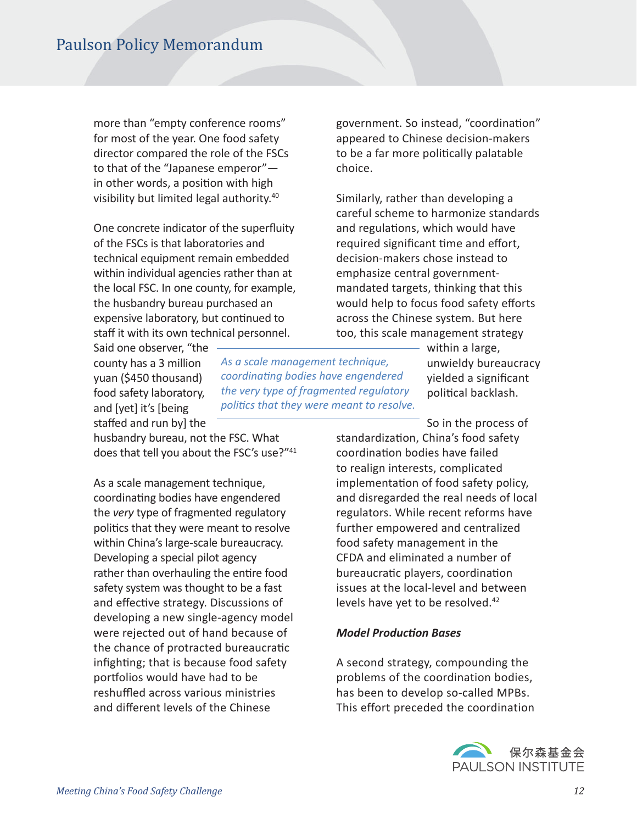more than "empty conference rooms" for most of the year. One food safety director compared the role of the FSCs to that of the "Japanese emperor" in other words, a positon with high visibility but limited legal authority.<sup>40</sup>

One concrete indicator of the superfuity of the FSCs is that laboratories and technical equipment remain embedded within individual agencies rather than at the local FSC. In one county, for example, the husbandry bureau purchased an expensive laboratory, but continued to staff it with its own technical personnel.

Said one observer, "the county has a 3 million yuan (\$450 thousand) food safety laboratory, and [yet] it's [being stafed and run by] the

husbandry bureau, not the FSC. What does that tell you about the FSC's use?"41

*As a scale management technique, coordinatng bodies have engendered the very type of fragmented regulatory politcs that they were meant to resolve.*

As a scale management technique, coordinating bodies have engendered the *very* type of fragmented regulatory politics that they were meant to resolve within China's large-scale bureaucracy. Developing a special pilot agency rather than overhauling the entire food safety system was thought to be a fast and effective strategy. Discussions of developing a new single-agency model were rejected out of hand because of the chance of protracted bureaucratic infighting; that is because food safety portfolios would have had to be reshuffled across various ministries and diferent levels of the Chinese

government. So instead, "coordinaton" appeared to Chinese decision-makers to be a far more politically palatable choice.

Similarly, rather than developing a careful scheme to harmonize standards and regulations, which would have required significant time and effort, decision-makers chose instead to emphasize central governmentmandated targets, thinking that this would help to focus food safety efforts across the Chinese system. But here too, this scale management strategy

> within a large, unwieldy bureaucracy yielded a signifcant political backlash.

So in the process of standardization, China's food safety coordination bodies have failed to realign interests, complicated implementation of food safety policy, and disregarded the real needs of local regulators. While recent reforms have further empowered and centralized food safety management in the CFDA and eliminated a number of bureaucratic players, coordination issues at the local-level and between levels have yet to be resolved.<sup>42</sup>

#### *Model Producton Bases*

A second strategy, compounding the problems of the coordination bodies, has been to develop so-called MPBs. This effort preceded the coordination

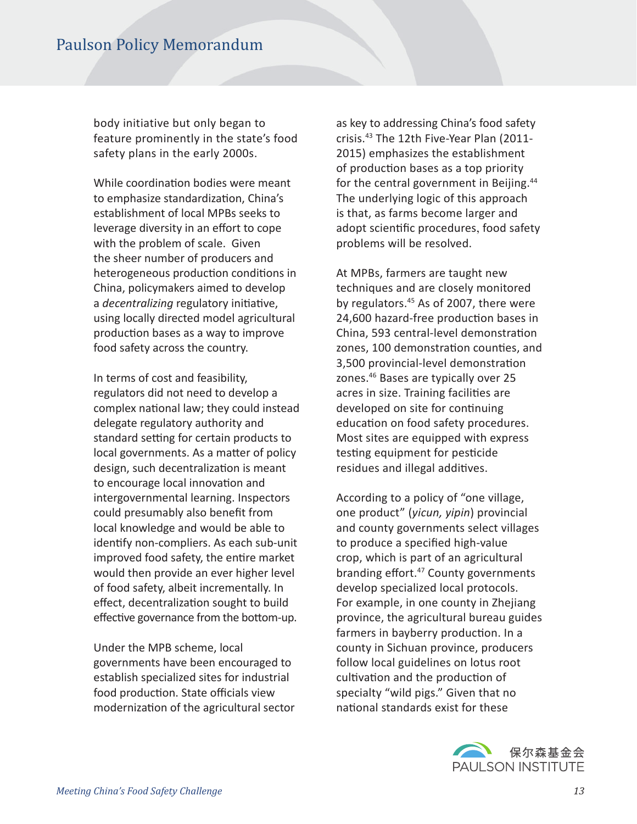body initiative but only began to feature prominently in the state's food safety plans in the early 2000s.

While coordination bodies were meant to emphasize standardization, China's establishment of local MPBs seeks to leverage diversity in an effort to cope with the problem of scale. Given the sheer number of producers and heterogeneous production conditions in China, policymakers aimed to develop a *decentralizing* regulatory initiative, using locally directed model agricultural production bases as a way to improve food safety across the country.

In terms of cost and feasibility, regulators did not need to develop a complex national law; they could instead delegate regulatory authority and standard setting for certain products to local governments. As a matter of policy design, such decentralization is meant to encourage local innovation and intergovernmental learning. Inspectors could presumably also beneft from local knowledge and would be able to identify non-compliers. As each sub-unit improved food safety, the entire market would then provide an ever higher level of food safety, albeit incrementally. In effect, decentralization sought to build effective governance from the bottom-up.

Under the MPB scheme, local governments have been encouraged to establish specialized sites for industrial food production. State officials view modernizaton of the agricultural sector as key to addressing China's food safety crisis.<sup>43</sup> The 12th Five-Year Plan (2011- 2015) emphasizes the establishment of production bases as a top priority for the central government in Beijing.<sup>44</sup> The underlying logic of this approach is that, as farms become larger and adopt scientific procedures, food safety problems will be resolved.

At MPBs, farmers are taught new techniques and are closely monitored by regulators.<sup>45</sup> As of 2007, there were 24,600 hazard-free production bases in China, 593 central-level demonstraton zones, 100 demonstration counties, and 3,500 provincial-level demonstraton zones.<sup>46</sup> Bases are typically over 25 acres in size. Training facilities are developed on site for continuing education on food safety procedures. Most sites are equipped with express testing equipment for pesticide residues and illegal additives.

According to a policy of "one village, one product" (*yicun, yipin*) provincial and county governments select villages to produce a specifed high-value crop, which is part of an agricultural branding effort.<sup>47</sup> County governments develop specialized local protocols. For example, in one county in Zhejiang province, the agricultural bureau guides farmers in bayberry production. In a county in Sichuan province, producers follow local guidelines on lotus root cultivation and the production of specialty "wild pigs." Given that no national standards exist for these

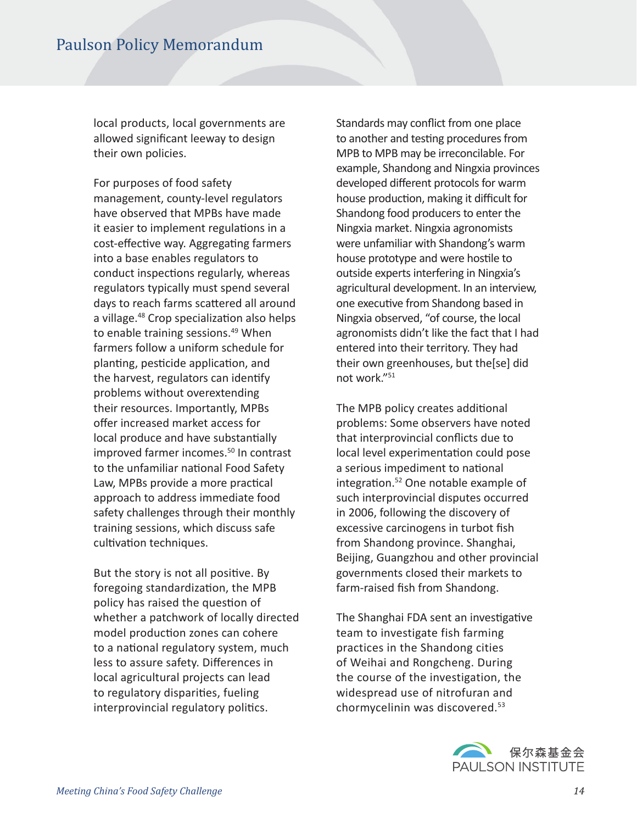local products, local governments are allowed signifcant leeway to design their own policies.

For purposes of food safety management, county-level regulators have observed that MPBs have made it easier to implement regulations in a cost-effective way. Aggregating farmers into a base enables regulators to conduct inspections regularly, whereas regulators typically must spend several days to reach farms scattered all around a village.<sup>48</sup> Crop specialization also helps to enable training sessions.<sup>49</sup> When farmers follow a uniform schedule for planting, pesticide application, and the harvest, regulators can identfy problems without overextending their resources. Importantly, MPBs offer increased market access for local produce and have substantially improved farmer incomes.<sup>50</sup> In contrast to the unfamiliar national Food Safety Law, MPBs provide a more practical approach to address immediate food safety challenges through their monthly training sessions, which discuss safe cultivation techniques.

But the story is not all positve. By foregoing standardization, the MPB policy has raised the question of whether a patchwork of locally directed model production zones can cohere to a national regulatory system, much less to assure safety. Diferences in local agricultural projects can lead to regulatory disparities, fueling interprovincial regulatory politics.

Standards may confict from one place to another and testing procedures from MPB to MPB may be irreconcilable. For example, Shandong and Ningxia provinces developed diferent protocols for warm house production, making it difficult for Shandong food producers to enter the Ningxia market. Ningxia agronomists were unfamiliar with Shandong's warm house prototype and were hostile to outside experts interfering in Ningxia's agricultural development. In an interview, one executive from Shandong based in Ningxia observed, "of course, the local agronomists didn't like the fact that I had entered into their territory. They had their own greenhouses, but the[se] did not work."<sup>51</sup>

The MPB policy creates additional problems: Some observers have noted that interprovincial conficts due to local level experimentation could pose a serious impediment to national integration.<sup>52</sup> One notable example of such interprovincial disputes occurred in 2006, following the discovery of excessive carcinogens in turbot fish from Shandong province. Shanghai, Beijing, Guangzhou and other provincial governments closed their markets to farm-raised fish from Shandong.

The Shanghai FDA sent an investigative team to investigate fish farming practices in the Shandong cities of Weihai and Rongcheng. During the course of the investigation, the widespread use of nitrofuran and chormycelinin was discovered.<sup>53</sup>

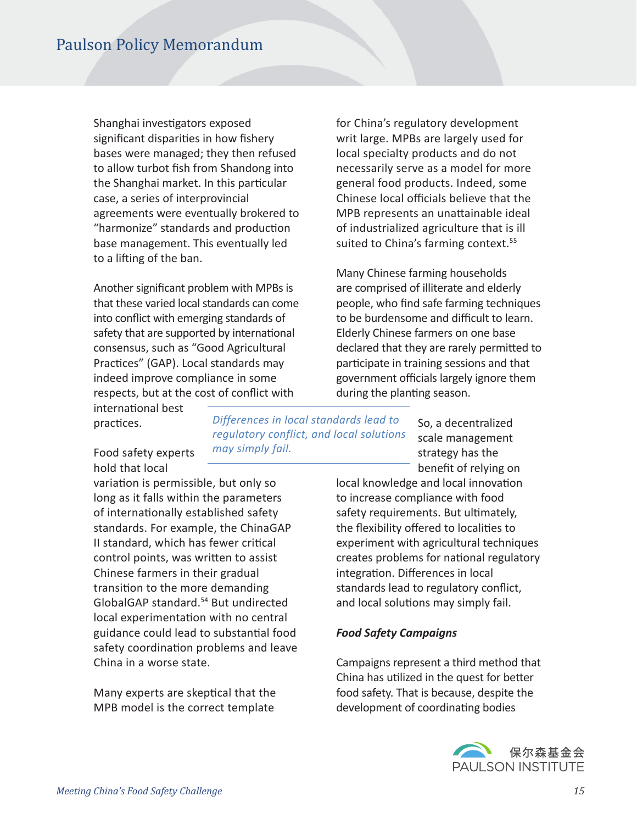Shanghai investigators exposed significant disparities in how fishery bases were managed; they then refused to allow turbot fsh from Shandong into the Shanghai market. In this particular case, a series of interprovincial agreements were eventually brokered to "harmonize" standards and production base management. This eventually led to a lifing of the ban.

Another signifcant problem with MPBs is that these varied local standards can come into confict with emerging standards of safety that are supported by international consensus, such as "Good Agricultural Practices" (GAP). Local standards may indeed improve compliance in some respects, but at the cost of confict with

international best practices.

Food safety experts hold that local

variation is permissible, but only so long as it falls within the parameters of internationally established safety standards. For example, the ChinaGAP II standard, which has fewer critical control points, was writen to assist Chinese farmers in their gradual transiton to the more demanding GlobalGAP standard.<sup>54</sup> But undirected local experimentation with no central guidance could lead to substantal food safety coordination problems and leave China in a worse state.

Many experts are skeptical that the MPB model is the correct template

*Differences in local standards lead to regulatory conflict, and local solutions may simply fail.* 

So, a decentralized scale management strategy has the beneft of relying on

local knowledge and local innovation to increase compliance with food safety requirements. But ultmately, the flexibility offered to localities to experiment with agricultural techniques creates problems for natonal regulatory integration. Differences in local standards lead to regulatory confict, and local solutions may simply fail.

for China's regulatory development writ large. MPBs are largely used for local specialty products and do not necessarily serve as a model for more general food products. Indeed, some Chinese local officials believe that the MPB represents an unattainable ideal of industrialized agriculture that is ill suited to China's farming context.<sup>55</sup>

Many Chinese farming households are comprised of illiterate and elderly people, who fnd safe farming techniques to be burdensome and difficult to learn. Elderly Chinese farmers on one base declared that they are rarely permited to participate in training sessions and that government officials largely ignore them

during the planting season.

#### *Food Safety Campaigns*

Campaigns represent a third method that China has utilized in the quest for better food safety. That is because, despite the development of coordinating bodies

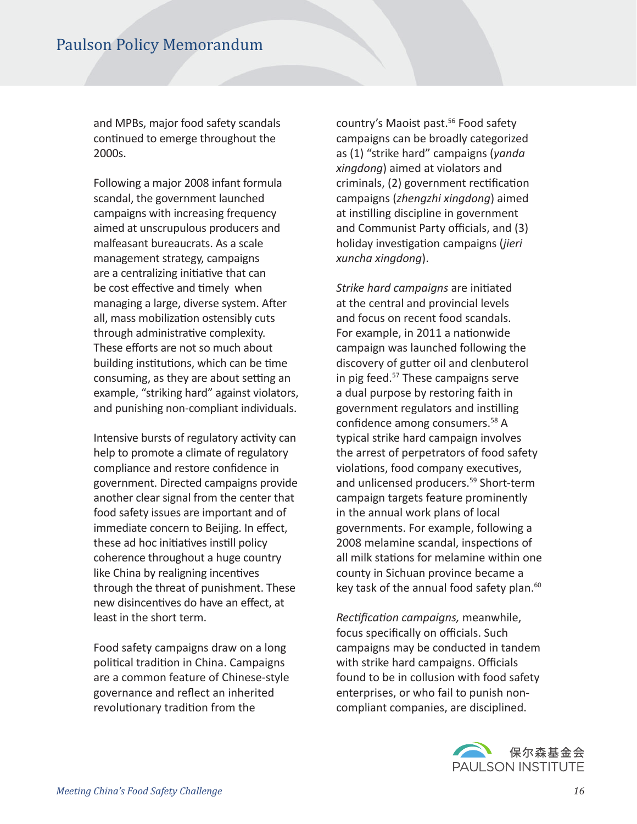and MPBs, major food safety scandals continued to emerge throughout the 2000s.

Following a major 2008 infant formula scandal, the government launched campaigns with increasing frequency aimed at unscrupulous producers and malfeasant bureaucrats. As a scale management strategy, campaigns are a centralizing initiative that can be cost effective and timely when managing a large, diverse system. After all, mass mobilization ostensibly cuts through administrative complexity. These efforts are not so much about building institutions, which can be time consuming, as they are about setting an example, "striking hard" against violators, and punishing non-compliant individuals.

Intensive bursts of regulatory activity can help to promote a climate of regulatory compliance and restore confdence in government. Directed campaigns provide another clear signal from the center that food safety issues are important and of immediate concern to Beijing. In effect, these ad hoc initiatives instill policy coherence throughout a huge country like China by realigning incentves through the threat of punishment. These new disincentves do have an efect, at least in the short term.

Food safety campaigns draw on a long politcal traditon in China. Campaigns are a common feature of Chinese-style governance and refect an inherited revolutionary tradition from the

country's Maoist past.56 Food safety campaigns can be broadly categorized as (1) "strike hard" campaigns (*yanda xingdong*) aimed at violators and criminals, (2) government rectification campaigns (*zhengzhi xingdong*) aimed at instilling discipline in government and Communist Party officials, and (3) holiday investgaton campaigns (*jieri xuncha xingdong*).

*Strike hard campaigns* are initated at the central and provincial levels and focus on recent food scandals. For example, in 2011 a nationwide campaign was launched following the discovery of gutter oil and clenbuterol in pig feed.57 These campaigns serve a dual purpose by restoring faith in government regulators and instlling confdence among consumers.58 A typical strike hard campaign involves the arrest of perpetrators of food safety violations, food company executives, and unlicensed producers.<sup>59</sup> Short-term campaign targets feature prominently in the annual work plans of local governments. For example, following a 2008 melamine scandal, inspections of all milk statons for melamine within one county in Sichuan province became a key task of the annual food safety plan.<sup>60</sup>

*Rectfcaton campaigns,* meanwhile, focus specifically on officials. Such campaigns may be conducted in tandem with strike hard campaigns. Officials found to be in collusion with food safety enterprises, or who fail to punish noncompliant companies, are disciplined.

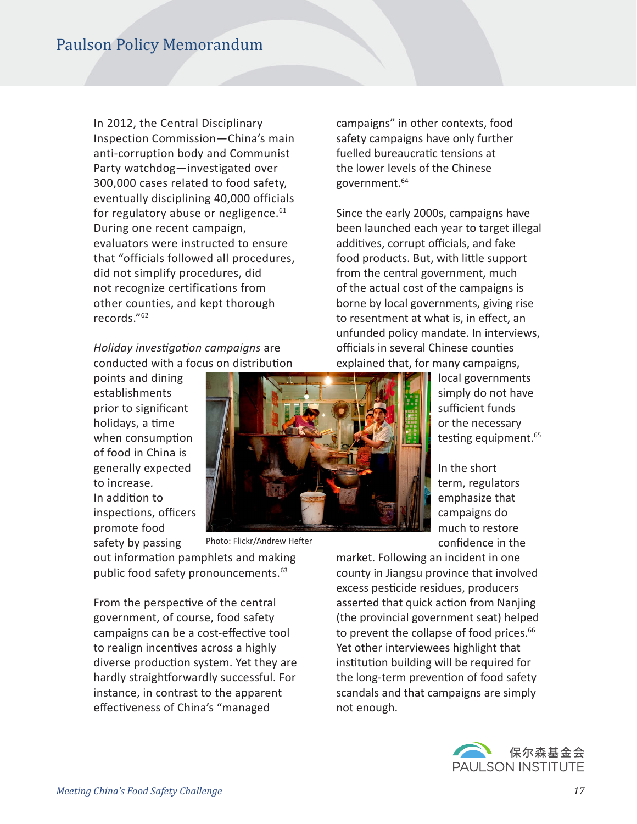In 2012, the Central Disciplinary Inspection Commission—China's main anti-corruption body and Communist Party watchdog—investigated over 300,000 cases related to food safety, eventually disciplining 40,000 officials for regulatory abuse or negligence. $61$ During one recent campaign, evaluators were instructed to ensure that "officials followed all procedures, did not simplify procedures, did not recognize certifications from other counties, and kept thorough records."<sup>62</sup>

*Holiday investgaton campaigns* are conducted with a focus on distribution

points and dining establishments prior to signifcant holidays, a time when consumption of food in China is generally expected to increase*.* In addition to inspections, officers promote food safety by passing



Photo: Flickr/Andrew Hefter

out information pamphlets and making public food safety pronouncements.<sup>63</sup>

From the perspective of the central government, of course, food safety campaigns can be a cost-effective tool to realign incentives across a highly diverse production system. Yet they are hardly straightforwardly successful. For instance, in contrast to the apparent effectiveness of China's "managed

campaigns" in other contexts, food safety campaigns have only further fuelled bureaucratic tensions at the lower levels of the Chinese government.<sup>64</sup>

Since the early 2000s, campaigns have been launched each year to target illegal additives, corrupt officials, and fake food products. But, with litle support from the central government, much of the actual cost of the campaigns is borne by local governments, giving rise to resentment at what is, in efect, an unfunded policy mandate. In interviews, officials in several Chinese counties explained that, for many campaigns,

local governments simply do not have sufficient funds or the necessary testing equipment.<sup>65</sup>

In the short term, regulators emphasize that campaigns do much to restore confdence in the

market. Following an incident in one county in Jiangsu province that involved excess pesticide residues, producers asserted that quick action from Nanjing (the provincial government seat) helped to prevent the collapse of food prices.<sup>66</sup> Yet other interviewees highlight that institution building will be required for the long-term prevention of food safety scandals and that campaigns are simply not enough.

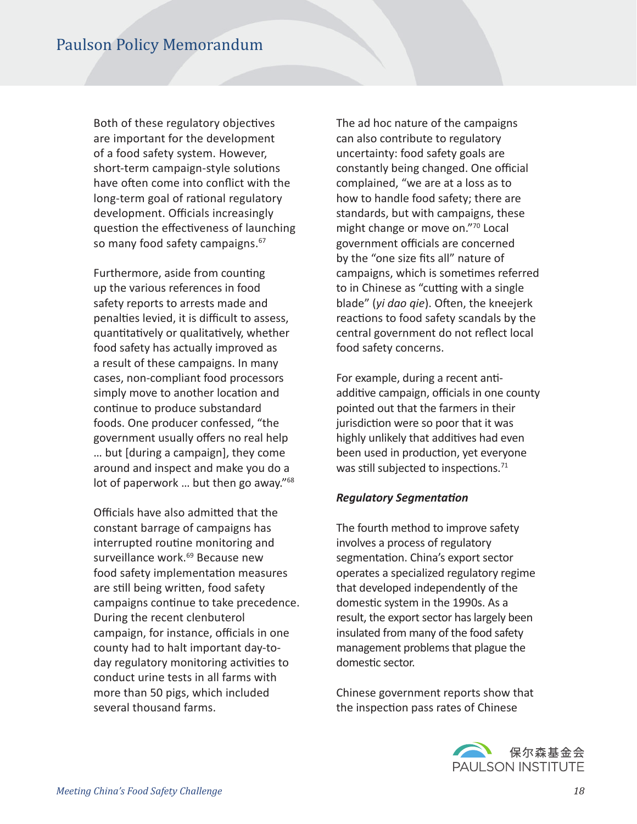Both of these regulatory objectives are important for the development of a food safety system. However, short-term campaign-style solutions have often come into conflict with the long-term goal of rational regulatory development. Officials increasingly question the effectiveness of launching so many food safety campaigns.<sup>67</sup>

Furthermore, aside from counting up the various references in food safety reports to arrests made and penalties levied, it is difficult to assess, quantitatively or qualitatively, whether food safety has actually improved as a result of these campaigns. In many cases, non-compliant food processors simply move to another location and continue to produce substandard foods. One producer confessed, "the government usually offers no real help … but [during a campaign], they come around and inspect and make you do a lot of paperwork ... but then go away."<sup>68</sup>

Officials have also admitted that the constant barrage of campaigns has interrupted routine monitoring and surveillance work.<sup>69</sup> Because new food safety implementation measures are still being written, food safety campaigns continue to take precedence. During the recent clenbuterol campaign, for instance, officials in one county had to halt important day-today regulatory monitoring activities to conduct urine tests in all farms with more than 50 pigs, which included several thousand farms.

The ad hoc nature of the campaigns can also contribute to regulatory uncertainty: food safety goals are constantly being changed. One official complained, "we are at a loss as to how to handle food safety; there are standards, but with campaigns, these might change or move on."70 Local government officials are concerned by the "one size fits all" nature of campaigns, which is sometimes referred to in Chinese as "cutting with a single blade" (*yi dao qie*). Often, the kneejerk reactions to food safety scandals by the central government do not refect local food safety concerns.

For example, during a recent antiadditive campaign, officials in one county pointed out that the farmers in their jurisdiction were so poor that it was highly unlikely that additives had even been used in production, yet everyone was still subjected to inspections.<sup>71</sup>

#### *Regulatory Segmentaton*

The fourth method to improve safety involves a process of regulatory segmentation. China's export sector operates a specialized regulatory regime that developed independently of the domestic system in the 1990s. As a result, the export sector has largely been insulated from many of the food safety management problems that plague the domestic sector.

Chinese government reports show that the inspection pass rates of Chinese

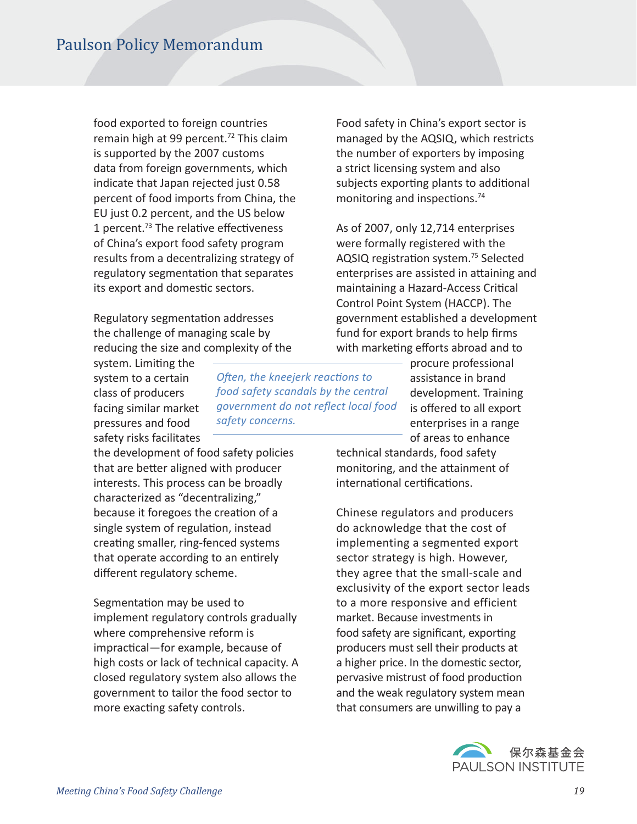food exported to foreign countries remain high at 99 percent.<sup>72</sup> This claim is supported by the 2007 customs data from foreign governments, which indicate that Japan rejected just 0.58 percent of food imports from China, the EU just 0.2 percent, and the US below 1 percent.<sup>73</sup> The relative effectiveness of China's export food safety program results from a decentralizing strategy of regulatory segmentation that separates its export and domestic sectors.

Regulatory segmentaton addresses the challenge of managing scale by reducing the size and complexity of the

system. Limiting the system to a certain class of producers facing similar market pressures and food safety risks facilitates

the development of food safety policies that are better aligned with producer interests. This process can be broadly characterized as "decentralizing," because it foregoes the creaton of a single system of regulation, instead creating smaller, ring-fenced systems that operate according to an entrely diferent regulatory scheme.

Segmentation may be used to implement regulatory controls gradually where comprehensive reform is impractical—for example, because of high costs or lack of technical capacity. A closed regulatory system also allows the government to tailor the food sector to more exacting safety controls.

*Ofen, the kneejerk reactons to food safety scandals by the central government do not refect local food safety concerns.* 

Food safety in China's export sector is managed by the AQSIQ, which restricts the number of exporters by imposing a strict licensing system and also subjects exporting plants to additional monitoring and inspections.<sup>74</sup>

As of 2007, only 12,714 enterprises were formally registered with the AQSIQ registration system.<sup>75</sup> Selected enterprises are assisted in attaining and maintaining a Hazard-Access Critical Control Point System (HACCP). The government established a development fund for export brands to help firms with marketing efforts abroad and to

> procure professional assistance in brand development. Training is offered to all export enterprises in a range of areas to enhance

technical standards, food safety monitoring, and the atainment of international certifications.

Chinese regulators and producers do acknowledge that the cost of implementing a segmented export sector strategy is high. However, they agree that the small-scale and exclusivity of the export sector leads to a more responsive and efficient market. Because investments in food safety are significant, exporting producers must sell their products at a higher price. In the domestic sector, pervasive mistrust of food production and the weak regulatory system mean that consumers are unwilling to pay a

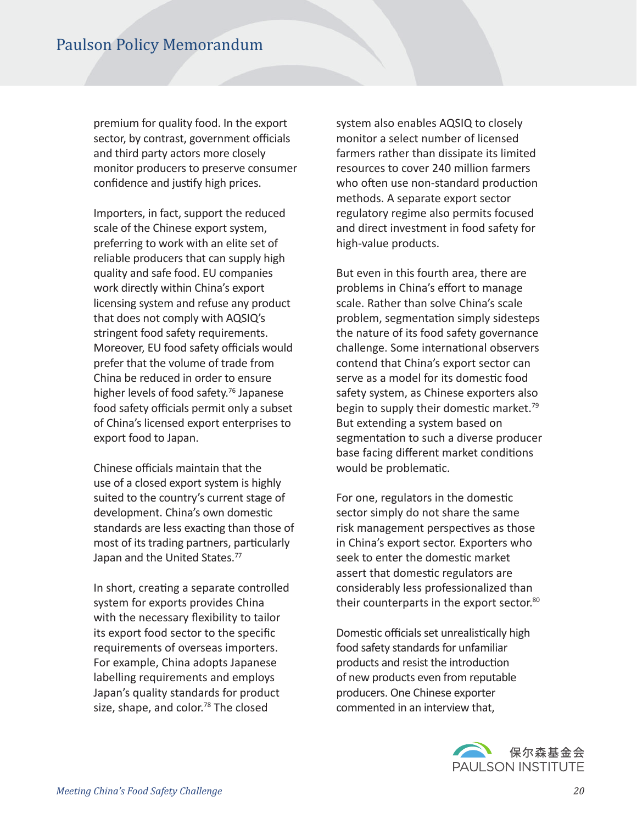premium for quality food. In the export sector, by contrast, government officials and third party actors more closely monitor producers to preserve consumer confidence and justify high prices.

Importers, in fact, support the reduced scale of the Chinese export system, preferring to work with an elite set of reliable producers that can supply high quality and safe food. EU companies work directly within China's export licensing system and refuse any product that does not comply with AQSIQ's stringent food safety requirements. Moreover, EU food safety officials would prefer that the volume of trade from China be reduced in order to ensure higher levels of food safety.<sup>76</sup> Japanese food safety officials permit only a subset of China's licensed export enterprises to export food to Japan.

Chinese officials maintain that the use of a closed export system is highly suited to the country's current stage of development. China's own domestic standards are less exacting than those of most of its trading partners, particularly Japan and the United States.<sup>77</sup>

In short, creating a separate controlled system for exports provides China with the necessary flexibility to tailor its export food sector to the specifc requirements of overseas importers. For example, China adopts Japanese labelling requirements and employs Japan's quality standards for product size, shape, and color.<sup>78</sup> The closed

system also enables AQSIQ to closely monitor a select number of licensed farmers rather than dissipate its limited resources to cover 240 million farmers who often use non-standard production methods. A separate export sector regulatory regime also permits focused and direct investment in food safety for high-value products.

But even in this fourth area, there are problems in China's effort to manage scale. Rather than solve China's scale problem, segmentation simply sidesteps the nature of its food safety governance challenge. Some international observers contend that China's export sector can serve as a model for its domestic food safety system, as Chinese exporters also begin to supply their domestic market.<sup>79</sup> But extending a system based on segmentation to such a diverse producer base facing diferent market conditons would be problematic.

For one, regulators in the domestic sector simply do not share the same risk management perspectives as those in China's export sector. Exporters who seek to enter the domestic market assert that domestic regulators are considerably less professionalized than their counterparts in the export sector.<sup>80</sup>

Domestic officials set unrealistically high food safety standards for unfamiliar products and resist the introduction of new products even from reputable producers. One Chinese exporter commented in an interview that,

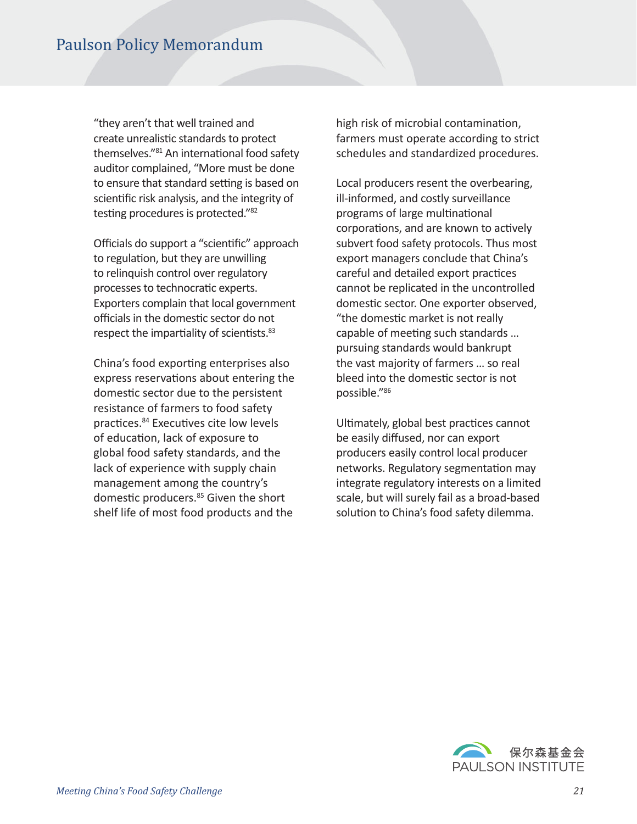"they aren't that well trained and create unrealistic standards to protect themselves."<sup>81</sup> An international food safety auditor complained, "More must be done to ensure that standard setting is based on scientific risk analysis, and the integrity of testing procedures is protected."<sup>82</sup>

Officials do support a "scientific" approach to regulation, but they are unwilling to relinquish control over regulatory processes to technocratic experts. Exporters complain that local government officials in the domestic sector do not respect the impartiality of scientists.<sup>83</sup>

China's food exporting enterprises also express reservations about entering the domestic sector due to the persistent resistance of farmers to food safety practices.<sup>84</sup> Executives cite low levels of education, lack of exposure to global food safety standards, and the lack of experience with supply chain management among the country's domestic producers.<sup>85</sup> Given the short shelf life of most food products and the

high risk of microbial contamination, farmers must operate according to strict schedules and standardized procedures.

Local producers resent the overbearing, ill-informed, and costly surveillance programs of large multinational corporations, and are known to actively subvert food safety protocols. Thus most export managers conclude that China's careful and detailed export practices cannot be replicated in the uncontrolled domestic sector. One exporter observed, "the domestic market is not really capable of meeting such standards ... pursuing standards would bankrupt the vast majority of farmers … so real bleed into the domestic sector is not possible."<sup>86</sup>

Ultimately, global best practices cannot be easily difused, nor can export producers easily control local producer networks. Regulatory segmentation may integrate regulatory interests on a limited scale, but will surely fail as a broad-based solution to China's food safety dilemma.

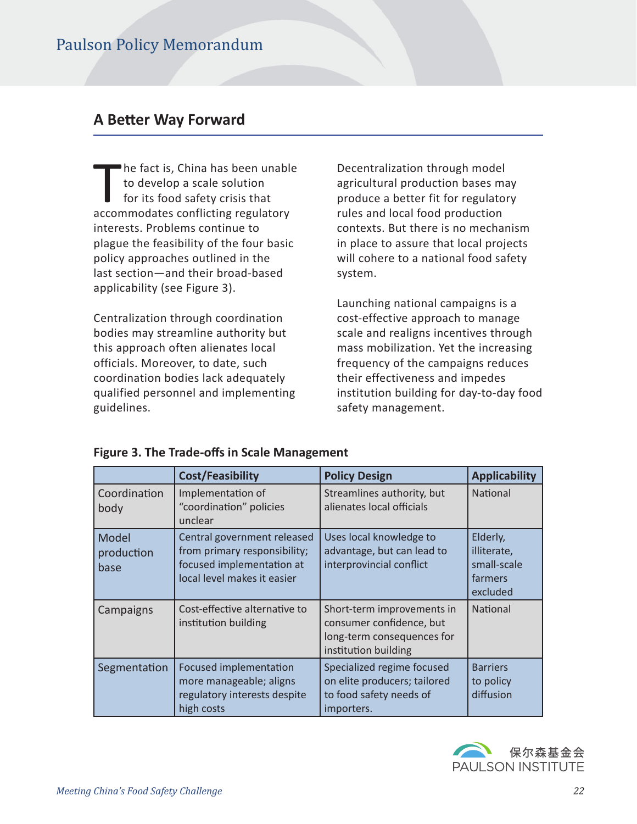# **A Beter Way Forward**

The fact is, China has been unable to develop a scale solution for its food safety crisis that accommodates conflicting regulatory interests. Problems continue to plague the feasibility of the four basic policy approaches outlined in the last section—and their broad-based applicability (see Figure 3).

Centralization through coordination bodies may streamline authority but this approach often alienates local officials. Moreover, to date, such coordination bodies lack adequately qualified personnel and implementing guidelines.

Decentralization through model agricultural production bases may produce a better fit for regulatory rules and local food production contexts. But there is no mechanism in place to assure that local projects will cohere to a national food safety system.

Launching national campaigns is a cost-effective approach to manage scale and realigns incentives through mass mobilization. Yet the increasing frequency of the campaigns reduces their effectiveness and impedes institution building for day-to-day food safety management.

|                             | <b>Cost/Feasibility</b>                                                                                                 | <b>Policy Design</b>                                                                                         | <b>Applicability</b>                                          |
|-----------------------------|-------------------------------------------------------------------------------------------------------------------------|--------------------------------------------------------------------------------------------------------------|---------------------------------------------------------------|
| Coordination<br>body        | Implementation of<br>"coordination" policies<br>unclear                                                                 | Streamlines authority, but<br>alienates local officials                                                      | <b>National</b>                                               |
| Model<br>production<br>base | Central government released<br>from primary responsibility;<br>focused implementation at<br>local level makes it easier | Uses local knowledge to<br>advantage, but can lead to<br>interprovincial conflict                            | Elderly,<br>illiterate,<br>small-scale<br>farmers<br>excluded |
| Campaigns                   | Cost-effective alternative to<br>institution building                                                                   | Short-term improvements in<br>consumer confidence, but<br>long-term consequences for<br>institution building | National                                                      |
| Segmentation                | Focused implementation<br>more manageable; aligns<br>regulatory interests despite<br>high costs                         | Specialized regime focused<br>on elite producers; tailored<br>to food safety needs of<br>importers.          | <b>Barriers</b><br>to policy<br>diffusion                     |

#### **Figure 3. The Trade-ofs in Scale Management**

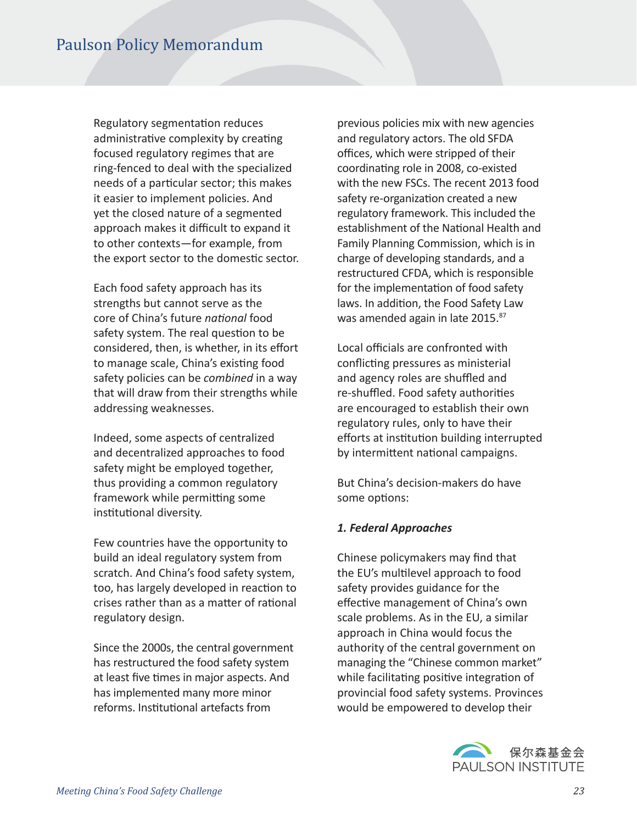Regulatory segmentaton reduces administrative complexity by creating focused regulatory regimes that are ring-fenced to deal with the specialized needs of a particular sector; this makes it easier to implement policies. And yet the closed nature of a segmented approach makes it difficult to expand it to other contexts—for example, from the export sector to the domestic sector.

Each food safety approach has its strengths but cannot serve as the core of China's future *natonal* food safety system. The real question to be considered, then, is whether, in its efort to manage scale, China's existng food safety policies can be *combined* in a way that will draw from their strengths while addressing weaknesses.

Indeed, some aspects of centralized and decentralized approaches to food safety might be employed together, thus providing a common regulatory framework while permitting some institutional diversity.

Few countries have the opportunity to build an ideal regulatory system from scratch. And China's food safety system, too, has largely developed in reaction to crises rather than as a matter of rational regulatory design.

Since the 2000s, the central government has restructured the food safety system at least five times in major aspects. And has implemented many more minor reforms. Institutional artefacts from

previous policies mix with new agencies and regulatory actors. The old SFDA offices, which were stripped of their coordinating role in 2008, co-existed with the new FSCs. The recent 2013 food safety re-organization created a new regulatory framework. This included the establishment of the National Health and Family Planning Commission, which is in charge of developing standards, and a restructured CFDA, which is responsible for the implementation of food safety laws. In addition, the Food Safety Law was amended again in late 2015.<sup>87</sup>

Local officials are confronted with conflicting pressures as ministerial and agency roles are shuffled and re-shuffled. Food safety authorities are encouraged to establish their own regulatory rules, only to have their efforts at institution building interrupted by intermittent national campaigns.

But China's decision-makers do have some options:

#### *1. Federal Approaches*

Chinese policymakers may find that the EU's multilevel approach to food safety provides guidance for the effective management of China's own scale problems. As in the EU, a similar approach in China would focus the authority of the central government on managing the "Chinese common market" while facilitating positive integration of provincial food safety systems. Provinces would be empowered to develop their

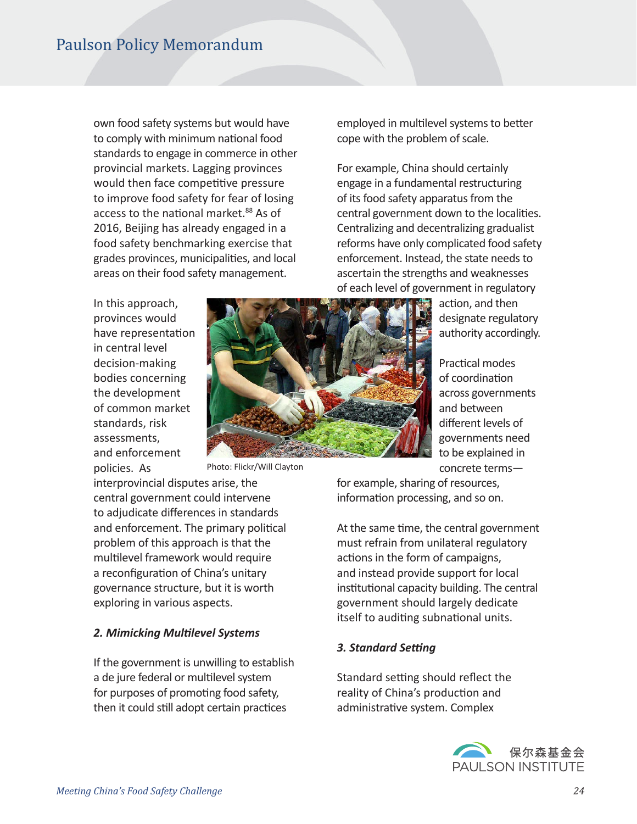own food safety systems but would have to comply with minimum national food standards to engage in commerce in other provincial markets. Lagging provinces would then face competitive pressure to improve food safety for fear of losing access to the national market.<sup>88</sup> As of 2016, Beijing has already engaged in a food safety benchmarking exercise that grades provinces, municipalities, and local areas on their food safety management.

In this approach, provinces would have representation in central level decision-making bodies concerning the development of common market standards, risk assessments, and enforcement policies. As



Photo: Flickr/Will Clayton

interprovincial disputes arise, the central government could intervene to adjudicate diferences in standards and enforcement. The primary political problem of this approach is that the multilevel framework would require a reconfiguration of China's unitary governance structure, but it is worth exploring in various aspects.

#### *2. Mimicking Multlevel Systems*

If the government is unwilling to establish a de jure federal or multilevel system for purposes of promoting food safety, then it could still adopt certain practices

employed in multilevel systems to better cope with the problem of scale.

For example, China should certainly engage in a fundamental restructuring of its food safety apparatus from the central government down to the localities. Centralizing and decentralizing gradualist reforms have only complicated food safety enforcement. Instead, the state needs to ascertain the strengths and weaknesses of each level of government in regulatory

> action, and then designate regulatory authority accordingly.

Practical modes of coordination across governments and between diferent levels of governments need to be explained in concrete terms—

for example, sharing of resources, information processing, and so on.

At the same time, the central government must refrain from unilateral regulatory actions in the form of campaigns, and instead provide support for local institutional capacity building. The central government should largely dedicate itself to auditing subnational units.

#### **3. Standard Setting**

Standard setting should reflect the reality of China's production and administrative system. Complex

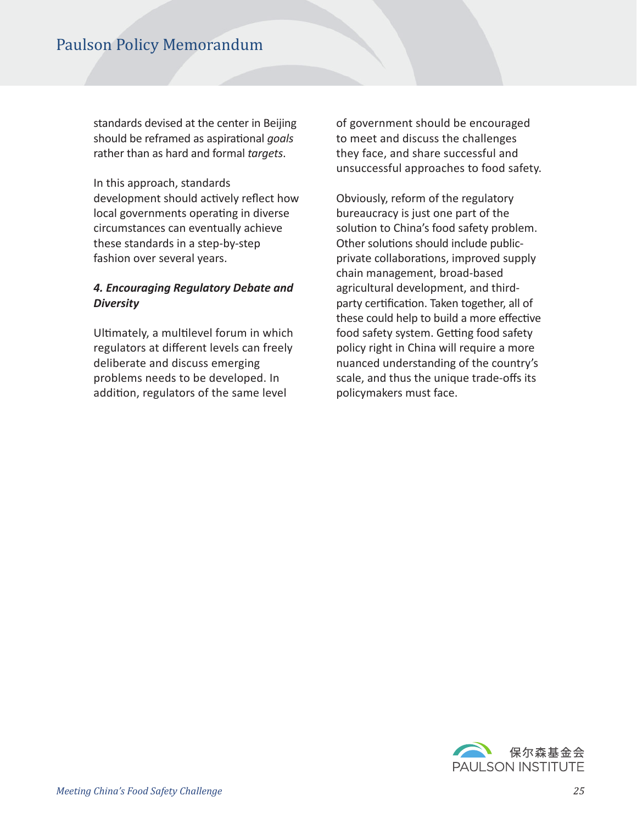standards devised at the center in Beijing should be reframed as aspirational *goals* rather than as hard and formal *targets*.

In this approach, standards development should actively reflect how local governments operating in diverse circumstances can eventually achieve these standards in a step-by-step fashion over several years.

#### *4. Encouraging Regulatory Debate and Diversity*

Ultimately, a multilevel forum in which regulators at diferent levels can freely deliberate and discuss emerging problems needs to be developed. In addition, regulators of the same level

of government should be encouraged to meet and discuss the challenges they face, and share successful and unsuccessful approaches to food safety.

Obviously, reform of the regulatory bureaucracy is just one part of the solution to China's food safety problem. Other solutions should include publicprivate collaborations, improved supply chain management, broad-based agricultural development, and thirdparty certification. Taken together, all of these could help to build a more effective food safety system. Getting food safety policy right in China will require a more nuanced understanding of the country's scale, and thus the unique trade-offs its policymakers must face.

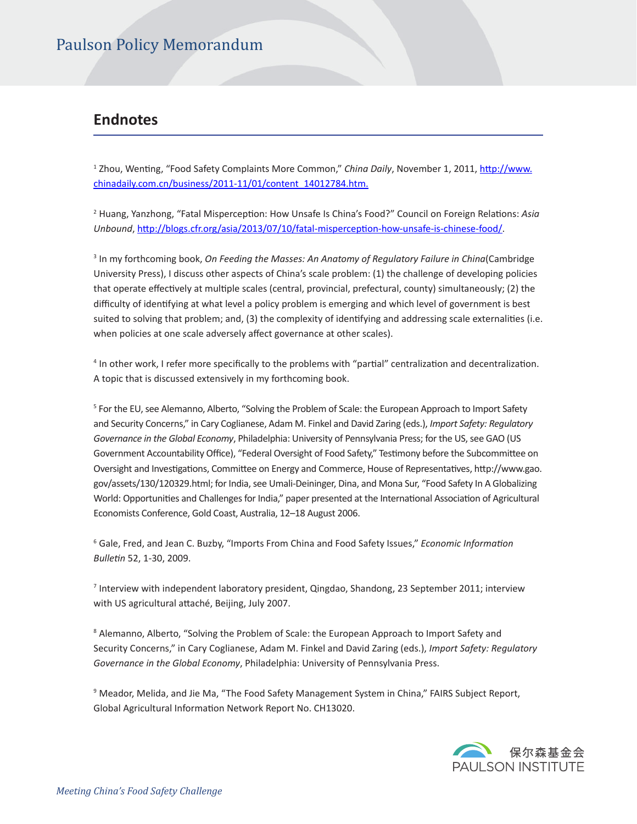### **Endnotes**

<sup>1</sup> Zhou, Wenting, "Food Safety Complaints More Common," *China Daily*, November 1, 2011, <u>http://www.</u> chinadaily.com.cn/business/2011-11/01/content\_14012784.htm.

2 Huang, Yanzhong, "Fatal Mispercepton: How Unsafe Is China's Food?" Council on Foreign Relatons: *Asia Unbound*, htp://blogs.cfr.org/asia/2013/07/10/fatal-mispercepton-how-unsafe-is-chinese-food/.

<sup>3</sup> In my forthcoming book, On Feeding the Masses: An Anatomy of Regulatory Failure in China(Cambridge University Press), I discuss other aspects of China's scale problem: (1) the challenge of developing policies that operate effectively at multiple scales (central, provincial, prefectural, county) simultaneously; (2) the difficulty of identifying at what level a policy problem is emerging and which level of government is best suited to solving that problem; and, (3) the complexity of identfying and addressing scale externalites (i.e. when policies at one scale adversely affect governance at other scales).

<sup>4</sup> In other work, I refer more specifically to the problems with "partial" centralization and decentralization. A topic that is discussed extensively in my forthcoming book.

<sup>5</sup> For the EU, see Alemanno, Alberto, "Solving the Problem of Scale: the European Approach to Import Safety and Security Concerns," in Cary Coglianese, Adam M. Finkel and David Zaring (eds.), *Import Safety: Regulatory Governance in the Global Economy*, Philadelphia: University of Pennsylvania Press; for the US, see GAO (US Government Accountability Office), "Federal Oversight of Food Safety," Testimony before the Subcommittee on Oversight and Investgatons, Commitee on Energy and Commerce, House of Representatves, htp://www.gao. gov/assets/130/120329.html; for India, see Umali-Deininger, Dina, and Mona Sur, "Food Safety In A Globalizing World: Opportunities and Challenges for India," paper presented at the International Association of Agricultural Economists Conference, Gold Coast, Australia, 12–18 August 2006.

6 Gale, Fred, and Jean C. Buzby, "Imports From China and Food Safety Issues," *Economic Informaton Bulletn* 52, 1-30, 2009.

7 Interview with independent laboratory president, Qingdao, Shandong, 23 September 2011; interview with US agricultural ataché, Beijing, July 2007.

<sup>8</sup> Alemanno, Alberto, "Solving the Problem of Scale: the European Approach to Import Safety and Security Concerns," in Cary Coglianese, Adam M. Finkel and David Zaring (eds.), *Import Safety: Regulatory Governance in the Global Economy*, Philadelphia: University of Pennsylvania Press.

<sup>9</sup> Meador, Melida, and Jie Ma, "The Food Safety Management System in China," FAIRS Subject Report, Global Agricultural Information Network Report No. CH13020.

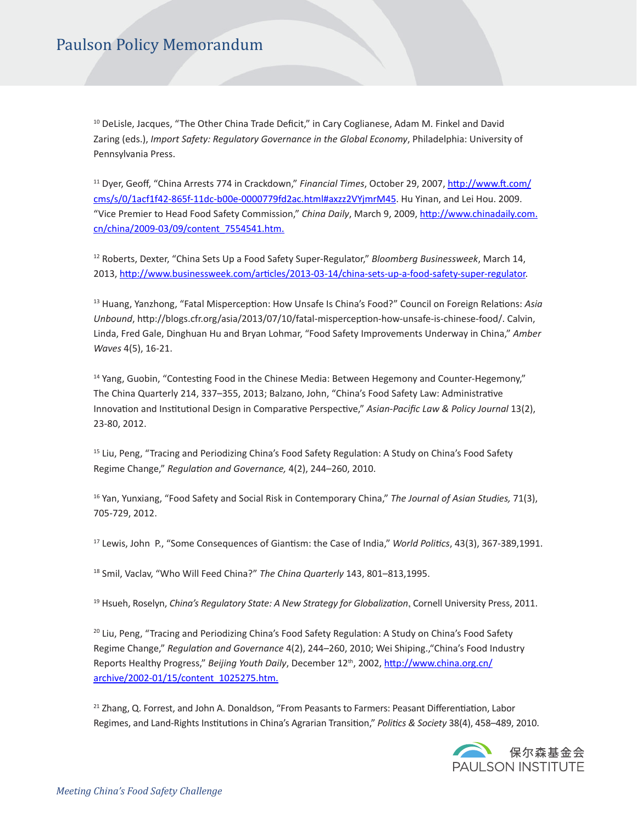<sup>10</sup> DeLisle, Jacques, "The Other China Trade Deficit," in Cary Coglianese, Adam M. Finkel and David Zaring (eds.), *Import Safety: Regulatory Governance in the Global Economy*, Philadelphia: University of Pennsylvania Press.

<sup>11</sup> Dyer, Geof, "China Arrests 774 in Crackdown," *Financial Times*, October 29, 2007, htp://www.f.com/ cms/s/0/1acf1f42-865f-11dc-b00e-0000779fd2ac.html#axzz2VYjmrM45. Hu Yinan, and Lei Hou. 2009. "Vice Premier to Head Food Safety Commission," *China Daily*, March 9, 2009, htp://www.chinadaily.com. cn/china/2009-03/09/content\_7554541.htm.

12 Roberts, Dexter, "China Sets Up a Food Safety Super-Regulator," *Bloomberg Businessweek*, March 14, 2013, http://www.businessweek.com/articles/2013-03-14/china-sets-up-a-food-safety-super-regulator.

<sup>13</sup> Huang, Yanzhong, "Fatal Misperception: How Unsafe Is China's Food?" Council on Foreign Relations: Asia *Unbound*, htp://blogs.cfr.org/asia/2013/07/10/fatal-mispercepton-how-unsafe-is-chinese-food/. Calvin, Linda, Fred Gale, Dinghuan Hu and Bryan Lohmar, "Food Safety Improvements Underway in China," *Amber Waves* 4(5), 16-21.

<sup>14</sup> Yang, Guobin, "Contesting Food in the Chinese Media: Between Hegemony and Counter-Hegemony," The China Quarterly 214, 337–355, 2013; Balzano, John, "China's Food Safety Law: Administratve Innovation and Institutional Design in Comparative Perspective," Asian-Pacific Law & Policy Journal 13(2), 23-80, 2012.

<sup>15</sup> Liu, Peng, "Tracing and Periodizing China's Food Safety Regulation: A Study on China's Food Safety Regime Change," *Regulaton and Governance,* 4(2), 244–260, 2010.

<sup>16</sup> Yan, Yunxiang, "Food Safety and Social Risk in Contemporary China," *The Journal of Asian Studies,* 71(3), 705-729, 2012.

<sup>17</sup> Lewis, John P., "Some Consequences of Giantism: the Case of India," *World Politics*, 43(3), 367-389,1991.

18 Smil, Vaclav, "Who Will Feed China?" *The China Quarterly* 143, 801–813,1995.

19 Hsueh, Roselyn, *China's Regulatory State: A New Strategy for Globalizaton*, Cornell University Press, 2011.

 $20$  Liu, Peng, "Tracing and Periodizing China's Food Safety Regulation: A Study on China's Food Safety Regime Change," *Regulaton and Governance* 4(2), 244–260, 2010; Wei Shiping.,"China's Food Industry Reports Healthy Progress," Beijing Youth Daily, December 12<sup>th</sup>, 2002, http://www.china.org.cn/ archive/2002-01/15/content\_1025275.htm.

<sup>21</sup> Zhang, Q. Forrest, and John A. Donaldson, "From Peasants to Farmers: Peasant Differentiation, Labor Regimes, and Land-Rights Insttutons in China's Agrarian Transiton," *Politcs & Society* 38(4), 458–489, 2010.

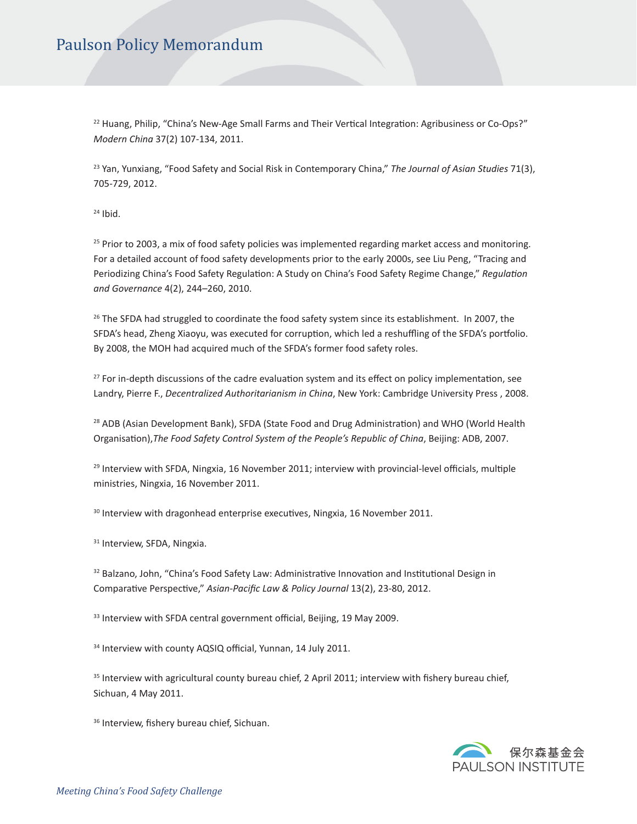<sup>22</sup> Huang, Philip, "China's New-Age Small Farms and Their Vertical Integration: Agribusiness or Co-Ops?" *Modern China* 37(2) 107-134, 2011.

<sup>23</sup> Yan, Yunxiang, "Food Safety and Social Risk in Contemporary China," *The Journal of Asian Studies* 71(3), 705-729, 2012.

 $24$  Ibid.

 $25$  Prior to 2003, a mix of food safety policies was implemented regarding market access and monitoring. For a detailed account of food safety developments prior to the early 2000s, see Liu Peng, "Tracing and Periodizing China's Food Safety Regulaton: A Study on China's Food Safety Regime Change," *Regulaton and Governance* 4(2), 244–260, 2010.

 $26$  The SFDA had struggled to coordinate the food safety system since its establishment. In 2007, the SFDA's head, Zheng Xiaoyu, was executed for corruption, which led a reshuffling of the SFDA's portfolio. By 2008, the MOH had acquired much of the SFDA's former food safety roles.

<sup>27</sup> For in-depth discussions of the cadre evaluation system and its effect on policy implementation, see Landry, Pierre F., *Decentralized Authoritarianism in China*, New York: Cambridge University Press , 2008.

<sup>28</sup> ADB (Asian Development Bank), SFDA (State Food and Drug Administration) and WHO (World Health Organisaton),*The Food Safety Control System of the People's Republic of China*, Beijing: ADB, 2007.

 $29$  Interview with SFDA, Ningxia, 16 November 2011; interview with provincial-level officials, multiple ministries, Ningxia, 16 November 2011.

 $30$  Interview with dragonhead enterprise executives, Ningxia, 16 November 2011.

<sup>31</sup> Interview, SFDA, Ningxia.

32 Balzano, John, "China's Food Safety Law: Administrative Innovation and Institutional Design in Comparatve Perspectve," *Asian-Pacifc Law & Policy Journal* 13(2), 23-80, 2012.

<sup>33</sup> Interview with SFDA central government official, Beijing, 19 May 2009.

34 Interview with county AQSIQ official, Yunnan, 14 July 2011.

 $35$  Interview with agricultural county bureau chief, 2 April 2011; interview with fishery bureau chief, Sichuan, 4 May 2011.

<sup>36</sup> Interview, fishery bureau chief, Sichuan.

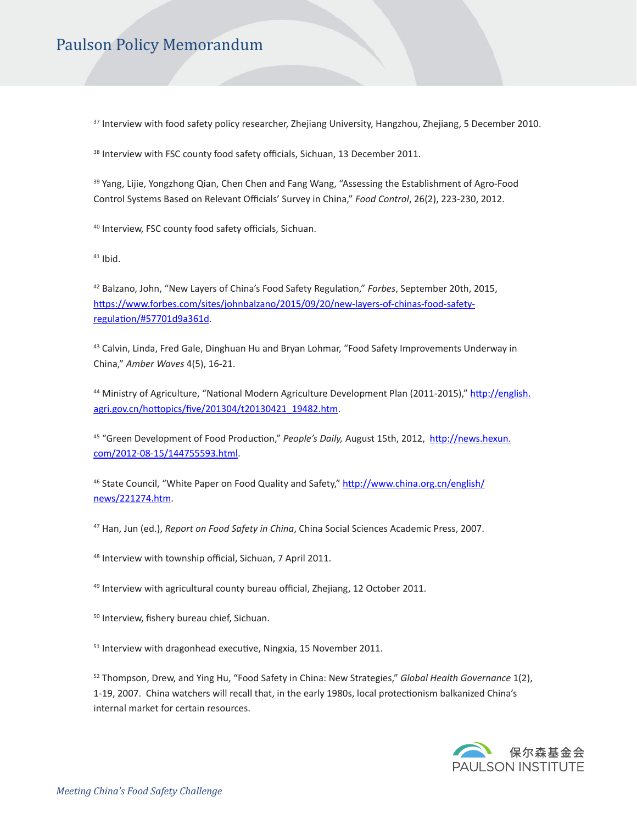<sup>37</sup> Interview with food safety policy researcher, Zhejiang University, Hangzhou, Zhejiang, 5 December 2010.

<sup>38</sup> Interview with FSC county food safety officials, Sichuan, 13 December 2011.

<sup>39</sup> Yang, Lijie, Yongzhong Qian, Chen Chen and Fang Wang, "Assessing the Establishment of Agro-Food Control Systems Based on Relevant Officials' Survey in China," *Food Control*, 26(2), 223-230, 2012.

<sup>40</sup> Interview, FSC county food safety officials, Sichuan.

 $41$  Ibid.

<sup>42</sup> Balzano, John, "New Layers of China's Food Safety Regulaton," *Forbes*, September 20th, 2015, https://www.forbes.com/sites/johnbalzano/2015/09/20/new-layers-of-chinas-food-safetyregulaton/#57701d9a361d.

<sup>43</sup> Calvin, Linda, Fred Gale, Dinghuan Hu and Bryan Lohmar, "Food Safety Improvements Underway in China," *Amber Waves* 4(5), 16-21.

44 Ministry of Agriculture, "National Modern Agriculture Development Plan (2011-2015)," http://english. agri.gov.cn/hottopics/five/201304/t20130421\_19482.htm.

<sup>45</sup> "Green Development of Food Producton," *People's Daily,* August 15th, 2012, htp://news.hexun. com/2012-08-15/144755593.html.

<sup>46</sup> State Council, "White Paper on Food Quality and Safety," htp://www.china.org.cn/english/ news/221274.htm.

<sup>47</sup> Han, Jun (ed.), *Report on Food Safety in China*, China Social Sciences Academic Press, 2007.

<sup>48</sup> Interview with township official, Sichuan, 7 April 2011.

 $49$  Interview with agricultural county bureau official, Zhejiang, 12 October 2011.

<sup>50</sup> Interview, fishery bureau chief, Sichuan.

 $51$  Interview with dragonhead executive, Ningxia, 15 November 2011.

52 Thompson, Drew, and Ying Hu, "Food Safety in China: New Strategies," *Global Health Governance* 1(2), 1-19, 2007. China watchers will recall that, in the early 1980s, local protectonism balkanized China's internal market for certain resources.

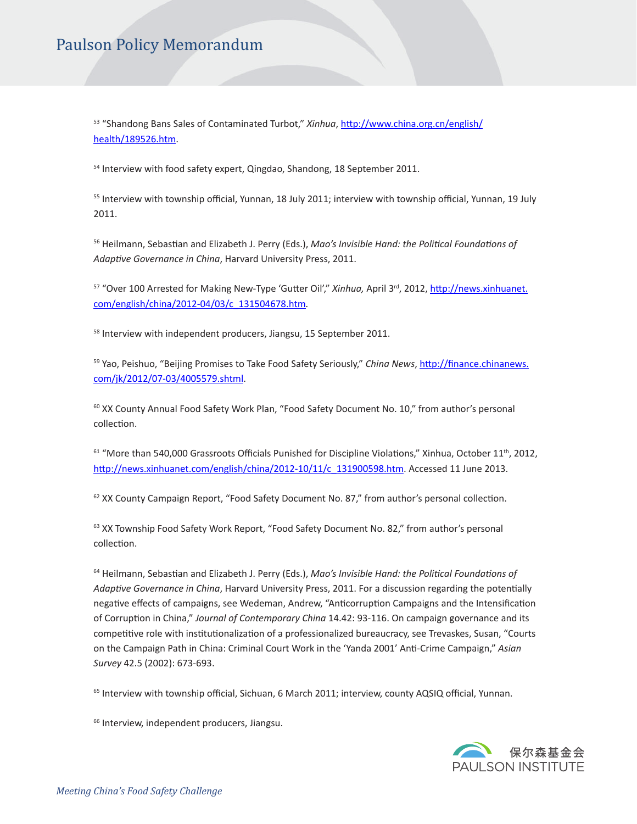<sup>53</sup> "Shandong Bans Sales of Contaminated Turbot," *Xinhua*, htp://www.china.org.cn/english/ health/189526.htm.

<sup>54</sup> Interview with food safety expert, Qingdao, Shandong, 18 September 2011.

<sup>55</sup> Interview with township official, Yunnan, 18 July 2011; interview with township official, Yunnan, 19 July 2011.

<sup>56</sup> Heilmann, Sebastan and Elizabeth J. Perry (Eds.), *Mao's Invisible Hand: the Politcal Foundatons of*  Adaptive Governance in China, Harvard University Press, 2011.

<sup>57</sup> "Over 100 Arrested for Making New-Type 'Guter Oil'," *Xinhua,* April 3rd, 2012, htp://news.xinhuanet. com/english/china/2012-04/03/c\_131504678.htm*.* 

<sup>58</sup> Interview with independent producers, Jiangsu, 15 September 2011.

<sup>59</sup> Yao, Peishuo, "Beijing Promises to Take Food Safety Seriously," *China News*, htp://fnance.chinanews. com/jk/2012/07-03/4005579.shtml.

 $60$  XX County Annual Food Safety Work Plan, "Food Safety Document No. 10," from author's personal collection.

 $61$  "More than 540,000 Grassroots Officials Punished for Discipline Violations," Xinhua, October 11<sup>th</sup>, 2012, http://news.xinhuanet.com/english/china/2012-10/11/c\_131900598.htm. Accessed 11 June 2013.

62 XX County Campaign Report, "Food Safety Document No. 87," from author's personal collection.

 $63$  XX Township Food Safety Work Report, "Food Safety Document No. 82," from author's personal collection.

<sup>64</sup> Heilmann, Sebastan and Elizabeth J. Perry (Eds.), *Mao's Invisible Hand: the Politcal Foundatons of Adaptve Governance in China*, Harvard University Press, 2011. For a discussion regarding the potentally negative effects of campaigns, see Wedeman, Andrew, "Anticorruption Campaigns and the Intensification of Corruption in China," *Journal of Contemporary China* 14.42: 93-116. On campaign governance and its competitive role with institutionalization of a professionalized bureaucracy, see Trevaskes, Susan, "Courts on the Campaign Path in China: Criminal Court Work in the 'Yanda 2001' Ant-Crime Campaign," *Asian Survey* 42.5 (2002): 673-693.

 $65$  Interview with township official, Sichuan, 6 March 2011; interview, county AQSIQ official, Yunnan.

<sup>66</sup> Interview, independent producers, Jiangsu.

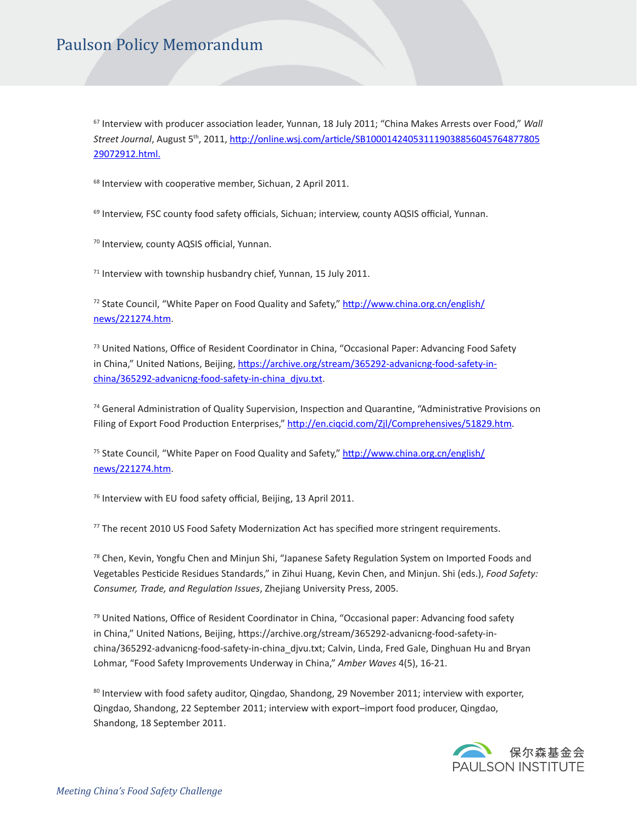<sup>67</sup> Interview with producer association leader, Yunnan, 18 July 2011; "China Makes Arrests over Food," Wall *Street Journal*, August 5th, 2011, htp://online.wsj.com/artcle/SB100014240531119038856045764877805 29072912.html.

<sup>68</sup> Interview with cooperative member, Sichuan, 2 April 2011.

69 Interview, FSC county food safety officials, Sichuan; interview, county AQSIS official, Yunnan.

<sup>70</sup> Interview, county AQSIS official, Yunnan.

<sup>71</sup> Interview with township husbandry chief, Yunnan, 15 July 2011.

<sup>72</sup> State Council, "White Paper on Food Quality and Safety," http://www.china.org.cn/english/ news/221274.htm.

 $73$  United Nations, Office of Resident Coordinator in China, "Occasional Paper: Advancing Food Safety in China," United Nations, Beijing, https://archive.org/stream/365292-advanicng-food-safety-inchina/365292-advanicng-food-safety-in-china\_djvu.txt.

<sup>74</sup> General Administration of Quality Supervision, Inspection and Quarantine, "Administrative Provisions on Filing of Export Food Production Enterprises," http://en.ciqcid.com/Zjl/Comprehensives/51829.htm.

<sup>75</sup> State Council, "White Paper on Food Quality and Safety," http://www.china.org.cn/english/ news/221274.htm.

 $76$  Interview with EU food safety official, Beijing, 13 April 2011.

 $77$  The recent 2010 US Food Safety Modernization Act has specified more stringent requirements.

<sup>78</sup> Chen, Kevin, Yongfu Chen and Minjun Shi, "Japanese Safety Regulation System on Imported Foods and Vegetables Pestcide Residues Standards," in Zihui Huang, Kevin Chen, and Minjun. Shi (eds.), *Food Safety: Consumer, Trade, and Regulaton Issues*, Zhejiang University Press, 2005.

 $79$  United Nations, Office of Resident Coordinator in China, "Occasional paper: Advancing food safety in China," United Nations, Beijing, https://archive.org/stream/365292-advanicng-food-safety-inchina/365292-advanicng-food-safety-in-china\_djvu.txt; Calvin, Linda, Fred Gale, Dinghuan Hu and Bryan Lohmar, "Food Safety Improvements Underway in China," *Amber Waves* 4(5), 16-21.

80 Interview with food safety auditor, Qingdao, Shandong, 29 November 2011; interview with exporter, Qingdao, Shandong, 22 September 2011; interview with export–import food producer, Qingdao, Shandong, 18 September 2011.

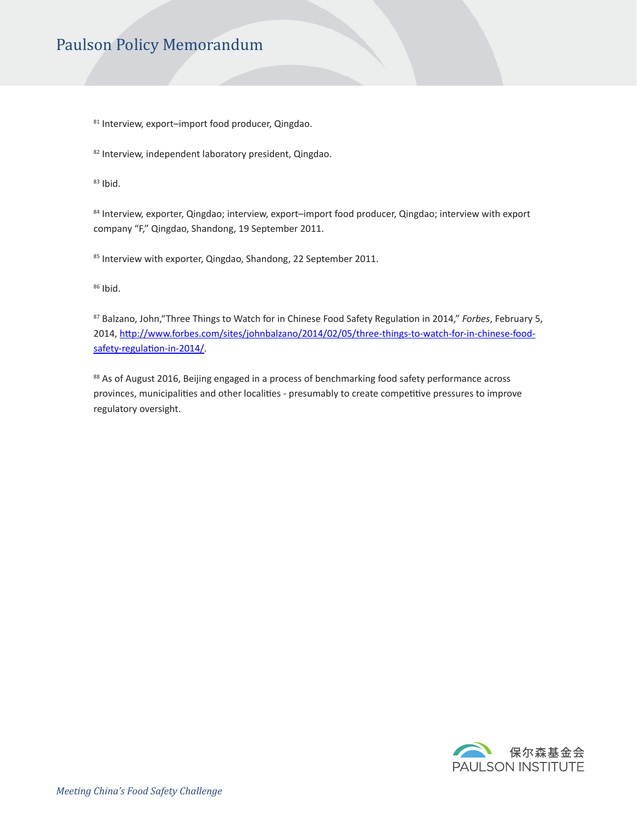81 Interview, export-import food producer, Qingdao.

82 Interview, independent laboratory president, Qingdao.

 $83$  Ibid.

84 Interview, exporter, Qingdao; interview, export–import food producer, Qingdao; interview with export company "F," Qingdao, Shandong, 19 September 2011.

<sup>85</sup> Interview with exporter, Qingdao, Shandong, 22 September 2011.

 $86$  Ibid.

<sup>87</sup> Balzano, John,"Three Things to Watch for in Chinese Food Safety Regulaton in 2014," *Forbes*, February 5, 2014, http://www.forbes.com/sites/johnbalzano/2014/02/05/three-things-to-watch-for-in-chinese-foodsafety-regulation-in-2014/.

88 As of August 2016, Beijing engaged in a process of benchmarking food safety performance across provinces, municipalities and other localities - presumably to create competitive pressures to improve regulatory oversight.

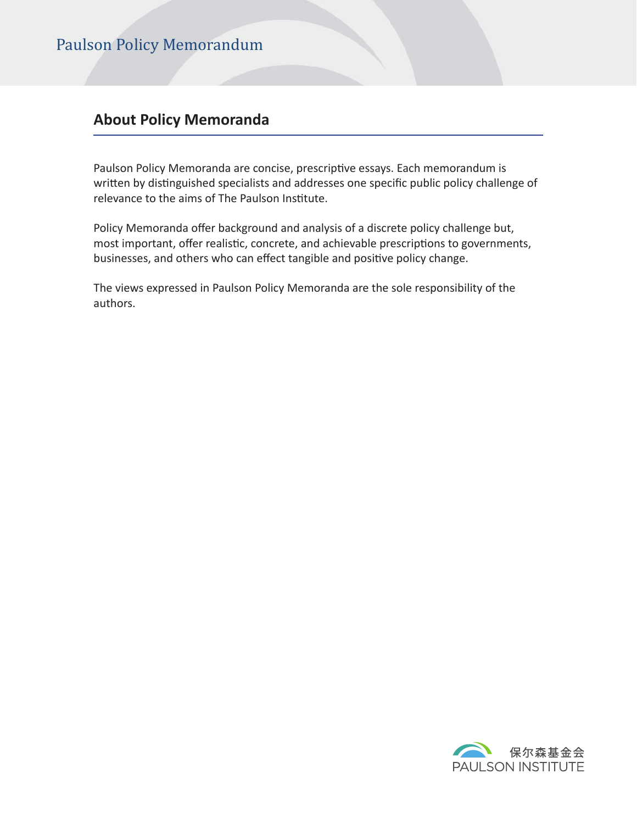### **About Policy Memoranda**

Paulson Policy Memoranda are concise, prescriptive essays. Each memorandum is written by distinguished specialists and addresses one specific public policy challenge of relevance to the aims of The Paulson Institute.

Policy Memoranda offer background and analysis of a discrete policy challenge but, most important, offer realistic, concrete, and achievable prescriptions to governments, businesses, and others who can effect tangible and positive policy change.

The views expressed in Paulson Policy Memoranda are the sole responsibility of the authors.

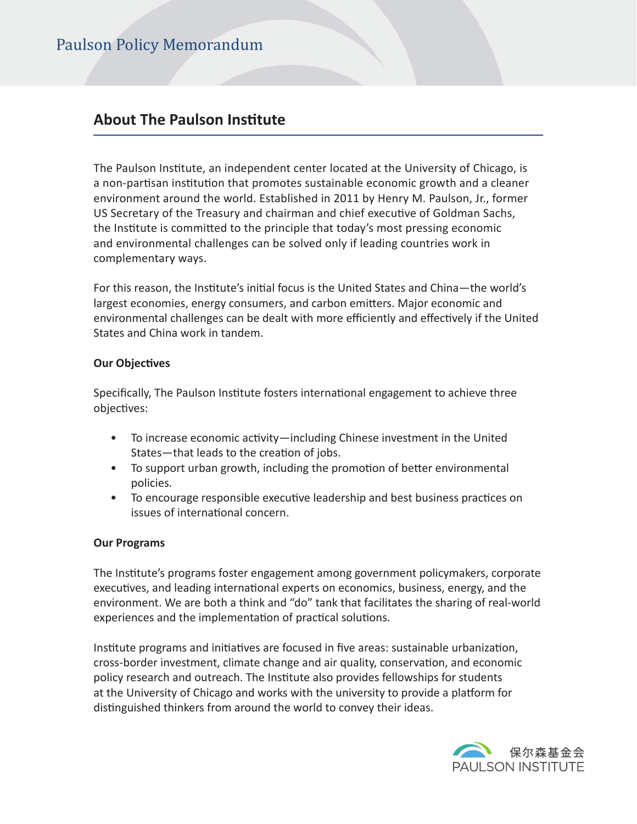### **About The Paulson Institute**

The Paulson Insttute, an independent center located at the University of Chicago, is a non-partisan institution that promotes sustainable economic growth and a cleaner environment around the world. Established in 2011 by Henry M. Paulson, Jr., former US Secretary of the Treasury and chairman and chief executive of Goldman Sachs, the Insttute is commited to the principle that today's most pressing economic and environmental challenges can be solved only if leading countries work in complementary ways.

For this reason, the Insttute's inital focus is the United States and China—the world's largest economies, energy consumers, and carbon emiters. Major economic and environmental challenges can be dealt with more efficiently and effectively if the United States and China work in tandem.

#### **Our Objectives**

Specifcally, The Paulson Insttute fosters internatonal engagement to achieve three objectives:

- To increase economic activity—including Chinese investment in the United States—that leads to the creation of jobs.
- To support urban growth, including the promotion of better environmental policies.
- To encourage responsible executive leadership and best business practices on issues of international concern.

#### **Our Programs**

The Insttute's programs foster engagement among government policymakers, corporate executives, and leading international experts on economics, business, energy, and the environment. We are both a think and "do" tank that facilitates the sharing of real-world experiences and the implementation of practical solutions.

Insttute programs and initatves are focused in fve areas: sustainable urbanizaton, cross-border investment, climate change and air quality, conservaton, and economic policy research and outreach. The Insttute also provides fellowships for students at the University of Chicago and works with the university to provide a platorm for distinguished thinkers from around the world to convey their ideas.